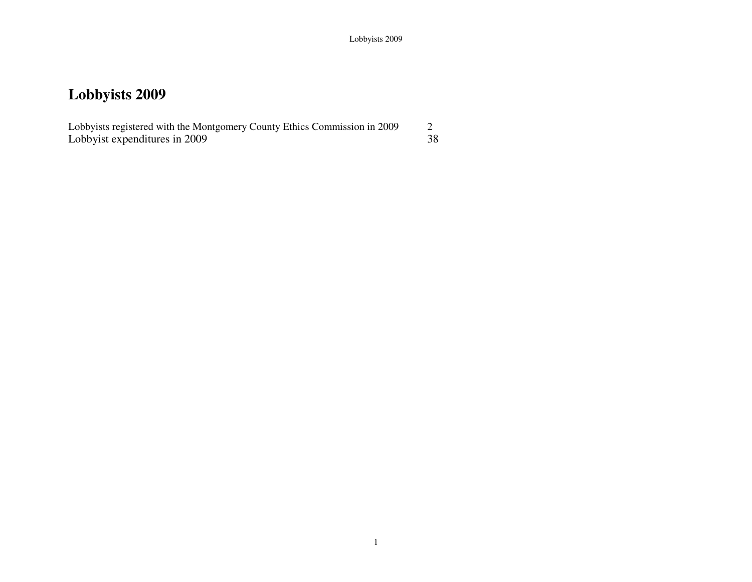Lobbyists registered with the Montgomery County Ethics Commission in 2009 2 38 Lobbyist expenditures in  $2009$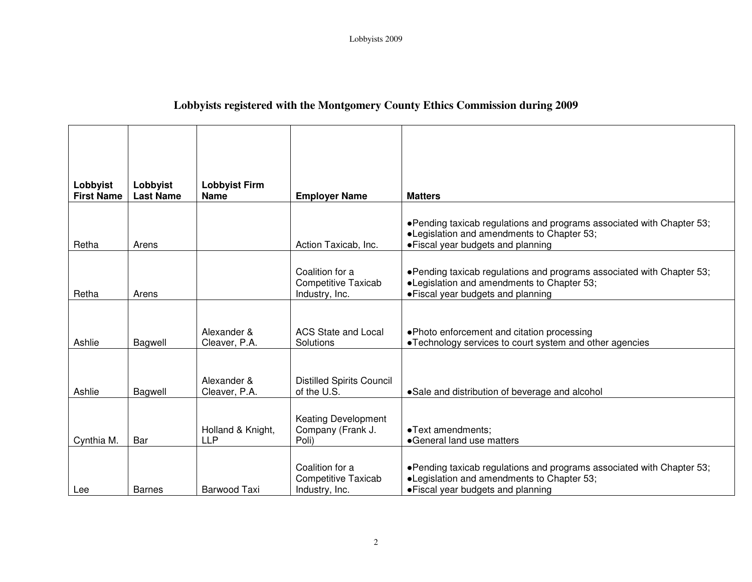### **Lobbyists registered with the Montgomery County Ethics Commission during 2009**

| Lobbyist<br><b>First Name</b> | Lobbyist<br><b>Last Name</b> | <b>Lobbyist Firm</b><br><b>Name</b> | <b>Employer Name</b>                                            | <b>Matters</b>                                                                                                                                            |
|-------------------------------|------------------------------|-------------------------------------|-----------------------------------------------------------------|-----------------------------------------------------------------------------------------------------------------------------------------------------------|
| Retha                         | Arens                        |                                     | Action Taxicab, Inc.                                            | •Pending taxicab regulations and programs associated with Chapter 53;<br>•Legislation and amendments to Chapter 53;<br>• Fiscal year budgets and planning |
| Retha                         | Arens                        |                                     | Coalition for a<br><b>Competitive Taxicab</b><br>Industry, Inc. | •Pending taxicab regulations and programs associated with Chapter 53;<br>•Legislation and amendments to Chapter 53;<br>• Fiscal year budgets and planning |
| Ashlie                        | Bagwell                      | Alexander &<br>Cleaver, P.A.        | <b>ACS State and Local</b><br>Solutions                         | . Photo enforcement and citation processing<br>•Technology services to court system and other agencies                                                    |
| Ashlie                        | Bagwell                      | Alexander &<br>Cleaver, P.A.        | <b>Distilled Spirits Council</b><br>of the U.S.                 | •Sale and distribution of beverage and alcohol                                                                                                            |
| Cynthia M.                    | Bar                          | Holland & Knight,<br><b>LLP</b>     | <b>Keating Development</b><br>Company (Frank J.<br>Poli)        | •Text amendments;<br>•General land use matters                                                                                                            |
| Lee                           | <b>Barnes</b>                | Barwood Taxi                        | Coalition for a<br><b>Competitive Taxicab</b><br>Industry, Inc. | •Pending taxicab regulations and programs associated with Chapter 53;<br>•Legislation and amendments to Chapter 53;<br>• Fiscal year budgets and planning |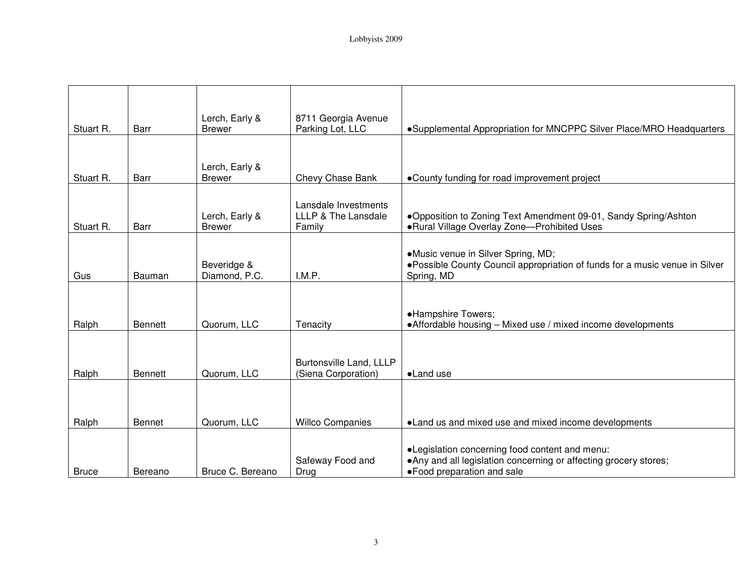| Stuart R.    | Barr           | Lerch, Early &<br><b>Brewer</b> | 8711 Georgia Avenue<br>Parking Lot, LLC               | •Supplemental Appropriation for MNCPPC Silver Place/MRO Headquarters                                                                               |
|--------------|----------------|---------------------------------|-------------------------------------------------------|----------------------------------------------------------------------------------------------------------------------------------------------------|
|              |                |                                 |                                                       |                                                                                                                                                    |
| Stuart R.    | Barr           | Lerch, Early &<br><b>Brewer</b> | Chevy Chase Bank                                      | •County funding for road improvement project                                                                                                       |
| Stuart R.    | Barr           | Lerch, Early &<br><b>Brewer</b> | Lansdale Investments<br>LLLP & The Lansdale<br>Family | . Opposition to Zoning Text Amendment 09-01, Sandy Spring/Ashton<br>.Rural Village Overlay Zone-Prohibited Uses                                    |
| Gus          | Bauman         | Beveridge &<br>Diamond, P.C.    | I.M.P.                                                | •Music venue in Silver Spring, MD;<br>. Possible County Council appropriation of funds for a music venue in Silver<br>Spring, MD                   |
| Ralph        | <b>Bennett</b> | Quorum, LLC                     | Tenacity                                              | •Hampshire Towers;<br>• Affordable housing - Mixed use / mixed income developments                                                                 |
| Ralph        | <b>Bennett</b> | Quorum, LLC                     | Burtonsville Land, LLLP<br>(Siena Corporation)        | •Land use                                                                                                                                          |
|              | Bennet         | Quorum, LLC                     | <b>Willco Companies</b>                               | • Land us and mixed use and mixed income developments                                                                                              |
| Ralph        |                |                                 |                                                       |                                                                                                                                                    |
| <b>Bruce</b> | Bereano        | Bruce C. Bereano                | Safeway Food and<br>Drug                              | •Legislation concerning food content and menu:<br>• Any and all legislation concerning or affecting grocery stores;<br>• Food preparation and sale |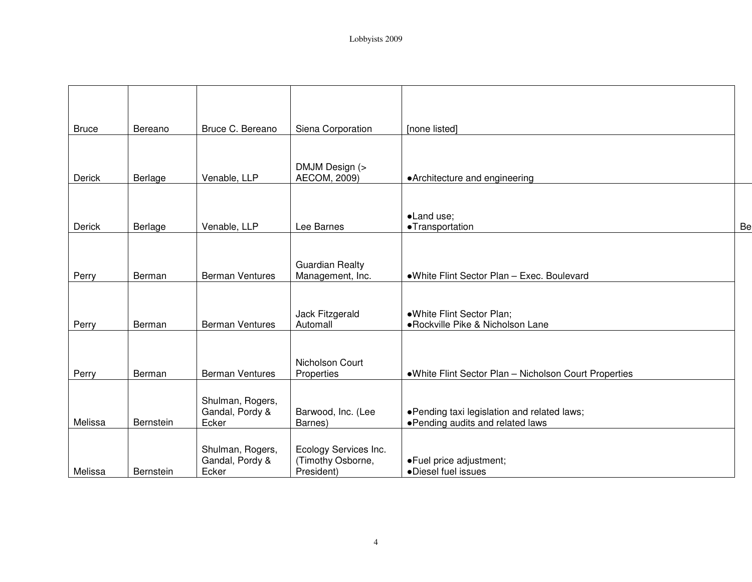| <b>Bruce</b>  | Bereano   | Bruce C. Bereano         | Siena Corporation                          | [none listed]                                          |    |
|---------------|-----------|--------------------------|--------------------------------------------|--------------------------------------------------------|----|
|               |           |                          |                                            |                                                        |    |
|               |           |                          |                                            |                                                        |    |
| <b>Derick</b> | Berlage   | Venable, LLP             | DMJM Design (><br>AECOM, 2009)             | • Architecture and engineering                         |    |
|               |           |                          |                                            |                                                        |    |
|               |           |                          |                                            |                                                        |    |
|               |           |                          |                                            | ·Land use;                                             |    |
| Derick        | Berlage   | Venable, LLP             | Lee Barnes                                 | ·Transportation                                        | Be |
|               |           |                          |                                            |                                                        |    |
|               |           |                          |                                            |                                                        |    |
| Perry         | Berman    | <b>Berman Ventures</b>   | <b>Guardian Realty</b><br>Management, Inc. | .White Flint Sector Plan - Exec. Boulevard             |    |
|               |           |                          |                                            |                                                        |    |
|               |           |                          |                                            |                                                        |    |
|               |           |                          | Jack Fitzgerald                            | .White Flint Sector Plan;                              |    |
| Perry         | Berman    | <b>Berman Ventures</b>   | Automall                                   | ·Rockville Pike & Nicholson Lane                       |    |
|               |           |                          |                                            |                                                        |    |
|               |           |                          |                                            |                                                        |    |
| Perry         | Berman    | <b>Berman Ventures</b>   | Nicholson Court<br>Properties              | • White Flint Sector Plan - Nicholson Court Properties |    |
|               |           |                          |                                            |                                                        |    |
|               |           | Shulman, Rogers,         |                                            |                                                        |    |
|               |           | Gandal, Pordy &          | Barwood, Inc. (Lee                         | .Pending taxi legislation and related laws;            |    |
| Melissa       | Bernstein | Ecker                    | Barnes)                                    | • Pending audits and related laws                      |    |
|               |           |                          |                                            |                                                        |    |
|               |           | Shulman, Rogers,         | Ecology Services Inc.                      |                                                        |    |
| Melissa       | Bernstein | Gandal, Pordy &<br>Ecker | (Timothy Osborne,<br>President)            | ·Fuel price adjustment;<br>·Diesel fuel issues         |    |
|               |           |                          |                                            |                                                        |    |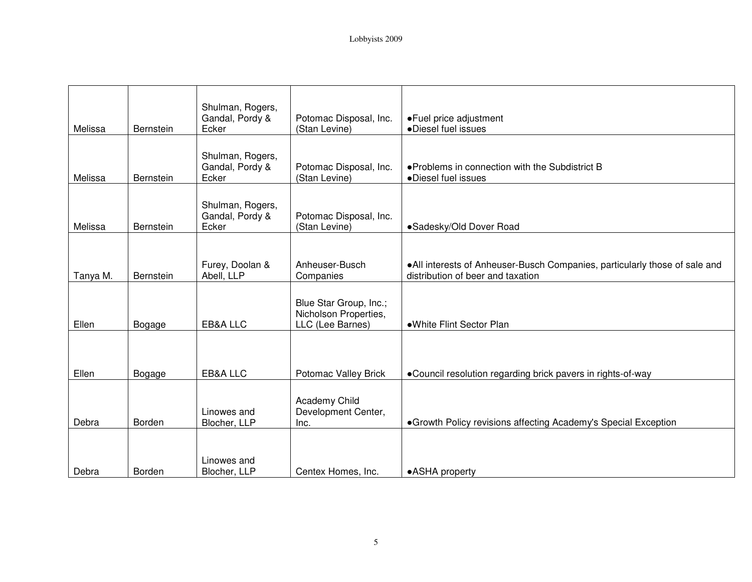| Melissa  | Bernstein        | Shulman, Rogers,<br>Gandal, Pordy &<br>Ecker | Potomac Disposal, Inc.<br>(Stan Levine)                             | •Fuel price adjustment<br>·Diesel fuel issues                                                                    |
|----------|------------------|----------------------------------------------|---------------------------------------------------------------------|------------------------------------------------------------------------------------------------------------------|
| Melissa  | Bernstein        | Shulman, Rogers,<br>Gandal, Pordy &<br>Ecker | Potomac Disposal, Inc.<br>(Stan Levine)                             | • Problems in connection with the Subdistrict B<br>·Diesel fuel issues                                           |
| Melissa  | Bernstein        | Shulman, Rogers,<br>Gandal, Pordy &<br>Ecker | Potomac Disposal, Inc.<br>(Stan Levine)                             | •Sadesky/Old Dover Road                                                                                          |
| Tanya M. | <b>Bernstein</b> | Furey, Doolan &<br>Abell, LLP                | Anheuser-Busch<br>Companies                                         | . All interests of Anheuser-Busch Companies, particularly those of sale and<br>distribution of beer and taxation |
| Ellen    | Bogage           | EB&A LLC                                     | Blue Star Group, Inc.;<br>Nicholson Properties,<br>LLC (Lee Barnes) | •White Flint Sector Plan                                                                                         |
| Ellen    | Bogage           | EB&A LLC                                     | Potomac Valley Brick                                                | •Council resolution regarding brick pavers in rights-of-way                                                      |
| Debra    | Borden           | Linowes and<br>Blocher, LLP                  | Academy Child<br>Development Center,<br>Inc.                        | • Growth Policy revisions affecting Academy's Special Exception                                                  |
| Debra    | Borden           | Linowes and<br>Blocher, LLP                  | Centex Homes, Inc.                                                  | •ASHA property                                                                                                   |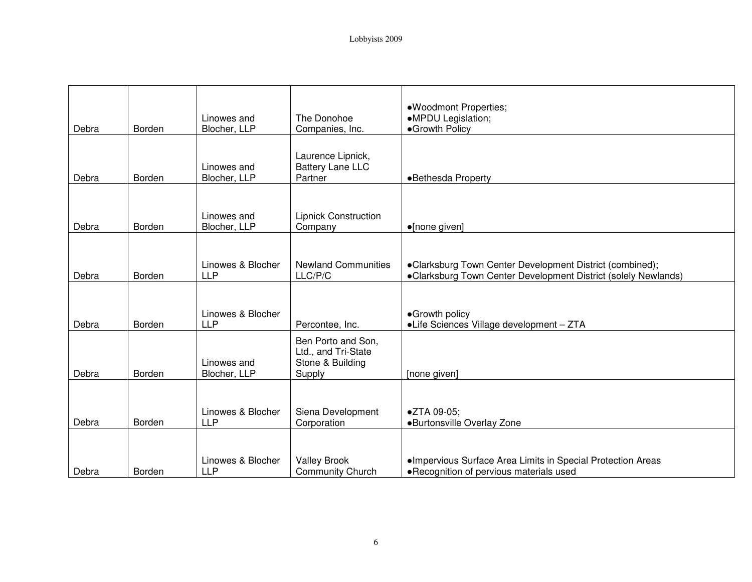| Debra | Borden | Linowes and<br>Blocher, LLP     | The Donohoe<br>Companies, Inc.                                          | ·Woodmont Properties;<br>•MPDU Legislation;<br>•Growth Policy                                                              |
|-------|--------|---------------------------------|-------------------------------------------------------------------------|----------------------------------------------------------------------------------------------------------------------------|
| Debra | Borden | Linowes and<br>Blocher, LLP     | Laurence Lipnick,<br><b>Battery Lane LLC</b><br>Partner                 | •Bethesda Property                                                                                                         |
| Debra | Borden | Linowes and<br>Blocher, LLP     | <b>Lipnick Construction</b><br>Company                                  | •[none given]                                                                                                              |
| Debra | Borden | Linowes & Blocher<br><b>LLP</b> | <b>Newland Communities</b><br>LLC/P/C                                   | •Clarksburg Town Center Development District (combined);<br>•Clarksburg Town Center Development District (solely Newlands) |
| Debra | Borden | Linowes & Blocher<br><b>LLP</b> | Percontee, Inc.                                                         | •Growth policy<br>•Life Sciences Village development - ZTA                                                                 |
| Debra | Borden | Linowes and<br>Blocher, LLP     | Ben Porto and Son,<br>Ltd., and Tri-State<br>Stone & Building<br>Supply | [none given]                                                                                                               |
| Debra | Borden | Linowes & Blocher<br><b>LLP</b> | Siena Development<br>Corporation                                        | ●ZTA 09-05:<br>·Burtonsville Overlay Zone                                                                                  |
| Debra | Borden | Linowes & Blocher<br><b>LLP</b> | <b>Valley Brook</b><br><b>Community Church</b>                          | ·Impervious Surface Area Limits in Special Protection Areas<br>• Recognition of pervious materials used                    |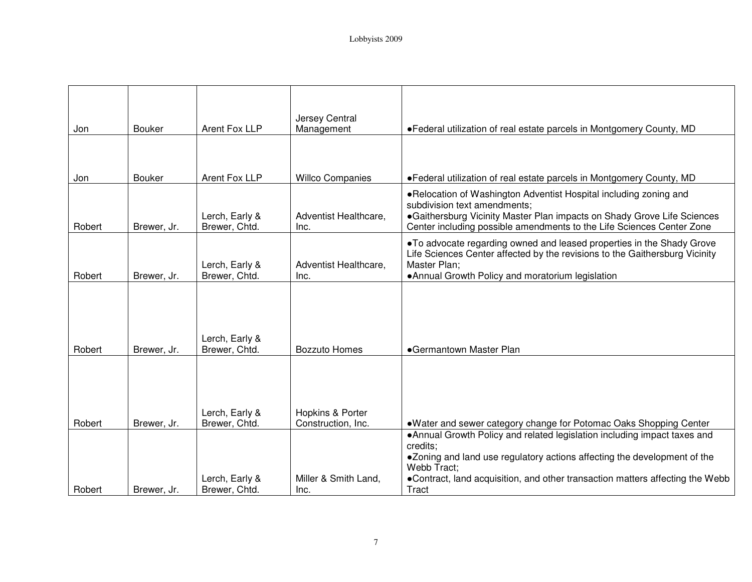| Jon    | <b>Bouker</b> | Arent Fox LLP                   | Jersey Central<br>Management           | •Federal utilization of real estate parcels in Montgomery County, MD                                                                                                                                                                                                              |
|--------|---------------|---------------------------------|----------------------------------------|-----------------------------------------------------------------------------------------------------------------------------------------------------------------------------------------------------------------------------------------------------------------------------------|
|        |               |                                 |                                        |                                                                                                                                                                                                                                                                                   |
|        |               |                                 |                                        |                                                                                                                                                                                                                                                                                   |
| Jon    | <b>Bouker</b> | Arent Fox LLP                   | <b>Willco Companies</b>                | . Federal utilization of real estate parcels in Montgomery County, MD                                                                                                                                                                                                             |
| Robert | Brewer, Jr.   | Lerch, Early &<br>Brewer, Chtd. | Adventist Healthcare,<br>Inc.          | . Relocation of Washington Adventist Hospital including zoning and<br>subdivision text amendments;<br>•Gaithersburg Vicinity Master Plan impacts on Shady Grove Life Sciences<br>Center including possible amendments to the Life Sciences Center Zone                            |
| Robert | Brewer, Jr.   | Lerch, Early &<br>Brewer, Chtd. | Adventist Healthcare,<br>Inc.          | . To advocate regarding owned and leased properties in the Shady Grove<br>Life Sciences Center affected by the revisions to the Gaithersburg Vicinity<br>Master Plan:<br>• Annual Growth Policy and moratorium legislation                                                        |
| Robert | Brewer, Jr.   | Lerch, Early &<br>Brewer, Chtd. | <b>Bozzuto Homes</b>                   | •Germantown Master Plan                                                                                                                                                                                                                                                           |
| Robert | Brewer, Jr.   | Lerch, Early &<br>Brewer, Chtd. | Hopkins & Porter<br>Construction, Inc. | .Water and sewer category change for Potomac Oaks Shopping Center                                                                                                                                                                                                                 |
| Robert | Brewer, Jr.   | Lerch, Early &<br>Brewer, Chtd. | Miller & Smith Land,<br>Inc.           | • Annual Growth Policy and related legislation including impact taxes and<br>credits;<br>•Zoning and land use regulatory actions affecting the development of the<br>Webb Tract:<br>•Contract, land acquisition, and other transaction matters affecting the Webb<br><b>Tract</b> |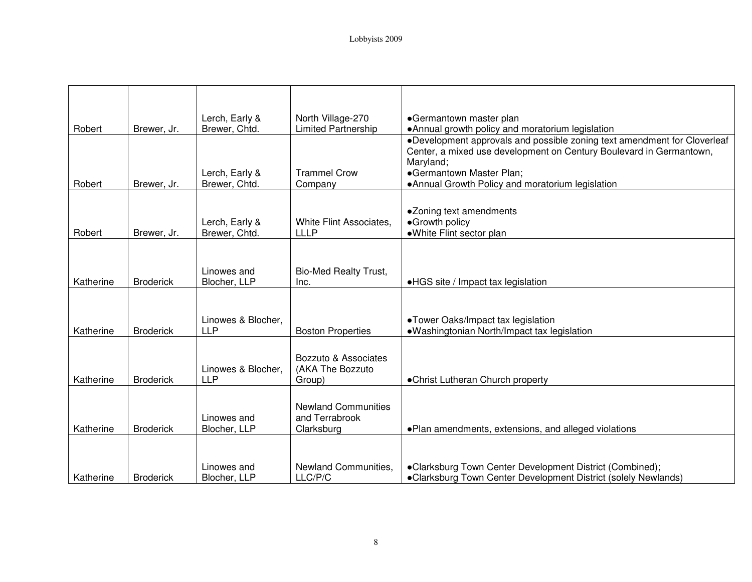|           |                  | Lerch, Early &                   | North Village-270                                          | •Germantown master plan                                                                                                                         |
|-----------|------------------|----------------------------------|------------------------------------------------------------|-------------------------------------------------------------------------------------------------------------------------------------------------|
| Robert    | Brewer, Jr.      | Brewer, Chtd.                    | <b>Limited Partnership</b>                                 | •Annual growth policy and moratorium legislation                                                                                                |
|           |                  |                                  |                                                            | •Development approvals and possible zoning text amendment for Cloverleaf<br>Center, a mixed use development on Century Boulevard in Germantown, |
|           |                  |                                  |                                                            | Maryland;                                                                                                                                       |
|           |                  | Lerch, Early &                   | <b>Trammel Crow</b>                                        | •Germantown Master Plan;                                                                                                                        |
| Robert    | Brewer, Jr.      | Brewer, Chtd.                    | Company                                                    | • Annual Growth Policy and moratorium legislation                                                                                               |
| Robert    | Brewer, Jr.      | Lerch, Early &<br>Brewer, Chtd.  | White Flint Associates,<br><b>LLLP</b>                     | •Zoning text amendments<br>•Growth policy<br>·White Flint sector plan                                                                           |
| Katherine | <b>Broderick</b> | Linowes and<br>Blocher, LLP      | <b>Bio-Med Realty Trust,</b><br>Inc.                       | •HGS site / Impact tax legislation                                                                                                              |
| Katherine | <b>Broderick</b> | Linowes & Blocher,<br><b>LLP</b> | <b>Boston Properties</b>                                   | •Tower Oaks/Impact tax legislation<br>•Washingtonian North/Impact tax legislation                                                               |
| Katherine | <b>Broderick</b> | Linowes & Blocher,<br><b>LLP</b> | Bozzuto & Associates<br>(AKA The Bozzuto<br>Group)         | •Christ Lutheran Church property                                                                                                                |
| Katherine | <b>Broderick</b> | Linowes and<br>Blocher, LLP      | <b>Newland Communities</b><br>and Terrabrook<br>Clarksburg | . Plan amendments, extensions, and alleged violations                                                                                           |
| Katherine | <b>Broderick</b> | Linowes and<br>Blocher, LLP      | Newland Communities,<br>LLC/P/C                            | •Clarksburg Town Center Development District (Combined);<br>•Clarksburg Town Center Development District (solely Newlands)                      |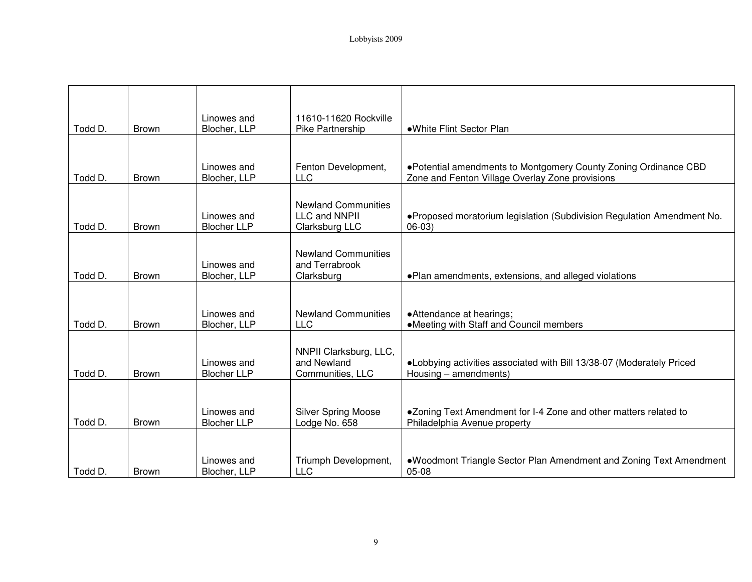| Todd D. | <b>Brown</b> | Linowes and<br>Blocher, LLP       | 11610-11620 Rockville<br>Pike Partnership                     | •White Flint Sector Plan                                                                                            |
|---------|--------------|-----------------------------------|---------------------------------------------------------------|---------------------------------------------------------------------------------------------------------------------|
|         |              |                                   |                                                               |                                                                                                                     |
| Todd D. | <b>Brown</b> | Linowes and<br>Blocher, LLP       | Fenton Development,<br>LLC                                    | . Potential amendments to Montgomery County Zoning Ordinance CBD<br>Zone and Fenton Village Overlay Zone provisions |
| Todd D. | <b>Brown</b> | Linowes and<br><b>Blocher LLP</b> | <b>Newland Communities</b><br>LLC and NNPII<br>Clarksburg LLC | .Proposed moratorium legislation (Subdivision Regulation Amendment No.<br>$06-03)$                                  |
| Todd D. | <b>Brown</b> | Linowes and<br>Blocher, LLP       | <b>Newland Communities</b><br>and Terrabrook<br>Clarksburg    | . Plan amendments, extensions, and alleged violations                                                               |
|         |              |                                   |                                                               |                                                                                                                     |
| Todd D. | <b>Brown</b> | Linowes and<br>Blocher, LLP       | <b>Newland Communities</b><br>LLC                             | • Attendance at hearings;<br>•Meeting with Staff and Council members                                                |
| Todd D. | <b>Brown</b> | Linowes and<br><b>Blocher LLP</b> | NNPII Clarksburg, LLC,<br>and Newland<br>Communities, LLC     | . Lobbying activities associated with Bill 13/38-07 (Moderately Priced<br>Housing - amendments)                     |
|         |              |                                   |                                                               |                                                                                                                     |
| Todd D. | Brown        | Linowes and<br><b>Blocher LLP</b> | <b>Silver Spring Moose</b><br>Lodge No. 658                   | •Zoning Text Amendment for I-4 Zone and other matters related to<br>Philadelphia Avenue property                    |
| Todd D. | Brown        | Linowes and<br>Blocher, LLP       | Triumph Development,<br><b>LLC</b>                            | .Woodmont Triangle Sector Plan Amendment and Zoning Text Amendment<br>05-08                                         |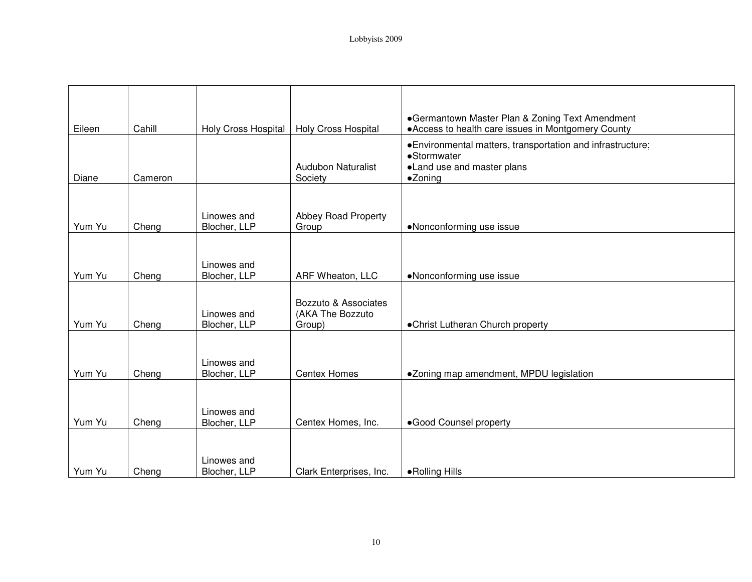| Eileen | Cahill  | Holy Cross Hospital         | <b>Holy Cross Hospital</b>                         | •Germantown Master Plan & Zoning Text Amendment<br>• Access to health care issues in Montgomery County              |
|--------|---------|-----------------------------|----------------------------------------------------|---------------------------------------------------------------------------------------------------------------------|
| Diane  | Cameron |                             | <b>Audubon Naturalist</b><br>Society               | • Environmental matters, transportation and infrastructure;<br>•Stormwater<br>•Land use and master plans<br>•Zoning |
| Yum Yu | Cheng   | Linowes and<br>Blocher, LLP | Abbey Road Property<br>Group                       | •Nonconforming use issue                                                                                            |
| Yum Yu | Cheng   | Linowes and<br>Blocher, LLP | ARF Wheaton, LLC                                   | •Nonconforming use issue                                                                                            |
| Yum Yu | Cheng   | Linowes and<br>Blocher, LLP | Bozzuto & Associates<br>(AKA The Bozzuto<br>Group) | • Christ Lutheran Church property                                                                                   |
| Yum Yu | Cheng   | Linowes and<br>Blocher, LLP | <b>Centex Homes</b>                                | •Zoning map amendment, MPDU legislation                                                                             |
| Yum Yu | Cheng   | Linowes and<br>Blocher, LLP | Centex Homes, Inc.                                 | ·Good Counsel property                                                                                              |
| Yum Yu | Cheng   | Linowes and<br>Blocher, LLP | Clark Enterprises, Inc.                            | • Rolling Hills                                                                                                     |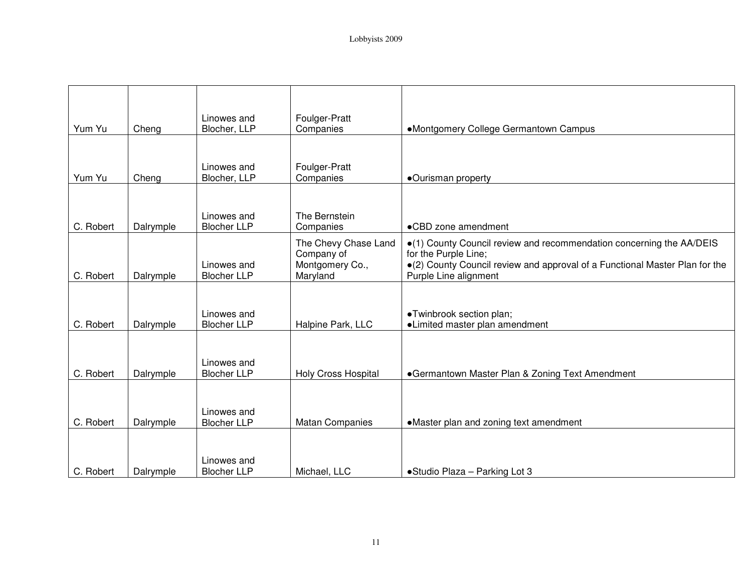| Yum Yu    | Cheng     | Linowes and<br>Blocher, LLP       | Foulger-Pratt<br>Companies                                        | •Montgomery College Germantown Campus                                                                                                                                                                |
|-----------|-----------|-----------------------------------|-------------------------------------------------------------------|------------------------------------------------------------------------------------------------------------------------------------------------------------------------------------------------------|
|           |           |                                   |                                                                   |                                                                                                                                                                                                      |
| Yum Yu    | Cheng     | Linowes and<br>Blocher, LLP       | Foulger-Pratt<br>Companies                                        | •Ourisman property                                                                                                                                                                                   |
|           |           |                                   |                                                                   |                                                                                                                                                                                                      |
| C. Robert | Dalrymple | Linowes and<br><b>Blocher LLP</b> | The Bernstein<br>Companies                                        | •CBD zone amendment                                                                                                                                                                                  |
| C. Robert | Dalrymple | Linowes and<br><b>Blocher LLP</b> | The Chevy Chase Land<br>Company of<br>Montgomery Co.,<br>Maryland | •(1) County Council review and recommendation concerning the AA/DEIS<br>for the Purple Line;<br>•(2) County Council review and approval of a Functional Master Plan for the<br>Purple Line alignment |
|           |           |                                   |                                                                   |                                                                                                                                                                                                      |
| C. Robert | Dalrymple | Linowes and<br><b>Blocher LLP</b> | Halpine Park, LLC                                                 | •Twinbrook section plan;<br>•Limited master plan amendment                                                                                                                                           |
|           |           |                                   |                                                                   |                                                                                                                                                                                                      |
| C. Robert | Dalrymple | Linowes and<br><b>Blocher LLP</b> | Holy Cross Hospital                                               | •Germantown Master Plan & Zoning Text Amendment                                                                                                                                                      |
|           |           |                                   |                                                                   |                                                                                                                                                                                                      |
| C. Robert | Dalrymple | Linowes and<br><b>Blocher LLP</b> | <b>Matan Companies</b>                                            | •Master plan and zoning text amendment                                                                                                                                                               |
|           |           |                                   |                                                                   |                                                                                                                                                                                                      |
| C. Robert | Dalrymple | Linowes and<br><b>Blocher LLP</b> | Michael, LLC                                                      | •Studio Plaza - Parking Lot 3                                                                                                                                                                        |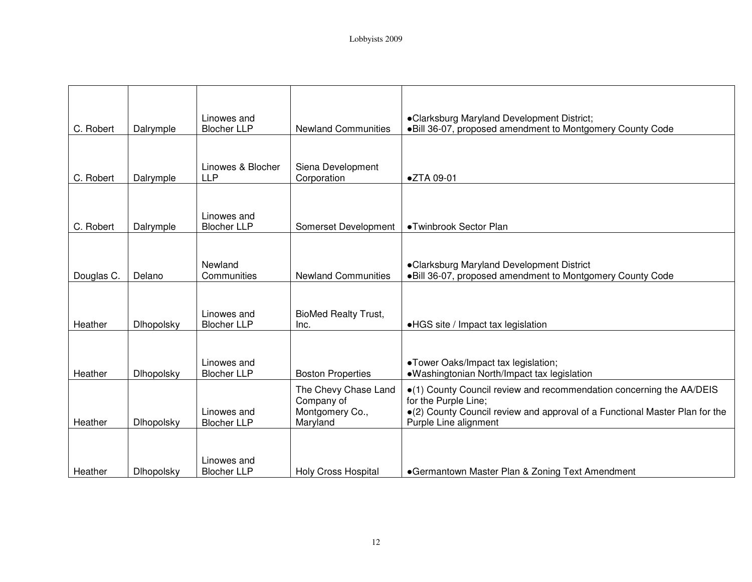|            |                   | Linowes and                       |                                                                   | •Clarksburg Maryland Development District;                                                                                                                                                           |
|------------|-------------------|-----------------------------------|-------------------------------------------------------------------|------------------------------------------------------------------------------------------------------------------------------------------------------------------------------------------------------|
| C. Robert  | Dalrymple         | <b>Blocher LLP</b>                | <b>Newland Communities</b>                                        | . Bill 36-07, proposed amendment to Montgomery County Code                                                                                                                                           |
| C. Robert  | Dalrymple         | Linowes & Blocher<br><b>LLP</b>   | Siena Development<br>Corporation                                  | ●ZTA 09-01                                                                                                                                                                                           |
| C. Robert  | Dalrymple         | Linowes and<br><b>Blocher LLP</b> | Somerset Development                                              | •Twinbrook Sector Plan                                                                                                                                                                               |
| Douglas C. | Delano            | Newland<br>Communities            | <b>Newland Communities</b>                                        | •Clarksburg Maryland Development District<br>. Bill 36-07, proposed amendment to Montgomery County Code                                                                                              |
| Heather    | <b>Dlhopolsky</b> | Linowes and<br><b>Blocher LLP</b> | <b>BioMed Realty Trust,</b><br>Inc.                               | •HGS site / Impact tax legislation                                                                                                                                                                   |
| Heather    | Dlhopolsky        | Linowes and<br><b>Blocher LLP</b> | <b>Boston Properties</b>                                          | •Tower Oaks/Impact tax legislation;<br>•Washingtonian North/Impact tax legislation                                                                                                                   |
| Heather    | Dlhopolsky        | Linowes and<br><b>Blocher LLP</b> | The Chevy Chase Land<br>Company of<br>Montgomery Co.,<br>Maryland | •(1) County Council review and recommendation concerning the AA/DEIS<br>for the Purple Line;<br>•(2) County Council review and approval of a Functional Master Plan for the<br>Purple Line alignment |
| Heather    | <b>Dihopolsky</b> | Linowes and<br><b>Blocher LLP</b> | <b>Holy Cross Hospital</b>                                        | •Germantown Master Plan & Zoning Text Amendment                                                                                                                                                      |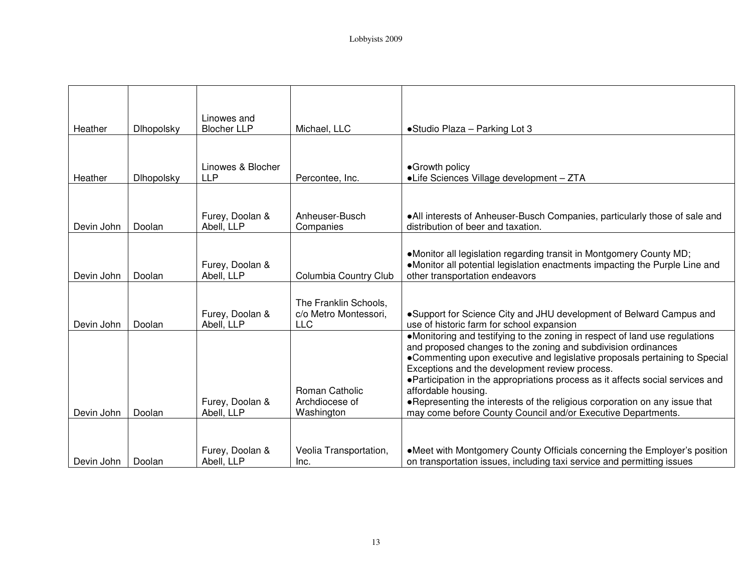| Heather    | Dlhopolsky | Linowes and<br><b>Blocher LLP</b> | Michael, LLC                                                 | • Studio Plaza - Parking Lot 3                                                                                                                                                                                                                                                                                                                                                                                                                                                                                                        |
|------------|------------|-----------------------------------|--------------------------------------------------------------|---------------------------------------------------------------------------------------------------------------------------------------------------------------------------------------------------------------------------------------------------------------------------------------------------------------------------------------------------------------------------------------------------------------------------------------------------------------------------------------------------------------------------------------|
|            |            |                                   |                                                              |                                                                                                                                                                                                                                                                                                                                                                                                                                                                                                                                       |
| Heather    | Dlhopolsky | Linowes & Blocher<br><b>LLP</b>   | Percontee, Inc.                                              | •Growth policy<br>•Life Sciences Village development - ZTA                                                                                                                                                                                                                                                                                                                                                                                                                                                                            |
|            |            | Furey, Doolan &                   | Anheuser-Busch                                               | . All interests of Anheuser-Busch Companies, particularly those of sale and                                                                                                                                                                                                                                                                                                                                                                                                                                                           |
| Devin John | Doolan     | Abell, LLP                        | Companies                                                    | distribution of beer and taxation.                                                                                                                                                                                                                                                                                                                                                                                                                                                                                                    |
| Devin John | Doolan     | Furey, Doolan &<br>Abell, LLP     | Columbia Country Club                                        | •Monitor all legislation regarding transit in Montgomery County MD;<br>•Monitor all potential legislation enactments impacting the Purple Line and<br>other transportation endeavors                                                                                                                                                                                                                                                                                                                                                  |
| Devin John | Doolan     | Furey, Doolan &<br>Abell, LLP     | The Franklin Schools,<br>c/o Metro Montessori,<br><b>LLC</b> | •Support for Science City and JHU development of Belward Campus and<br>use of historic farm for school expansion                                                                                                                                                                                                                                                                                                                                                                                                                      |
| Devin John | Doolan     | Furey, Doolan &<br>Abell, LLP     | Roman Catholic<br>Archdiocese of<br>Washington               | •Monitoring and testifying to the zoning in respect of land use regulations<br>and proposed changes to the zoning and subdivision ordinances<br>•Commenting upon executive and legislative proposals pertaining to Special<br>Exceptions and the development review process.<br>• Participation in the appropriations process as it affects social services and<br>affordable housing.<br>. Representing the interests of the religious corporation on any issue that<br>may come before County Council and/or Executive Departments. |
| Devin John | Doolan     | Furey, Doolan &<br>Abell, LLP     | Veolia Transportation,<br>Inc.                               | •Meet with Montgomery County Officials concerning the Employer's position<br>on transportation issues, including taxi service and permitting issues                                                                                                                                                                                                                                                                                                                                                                                   |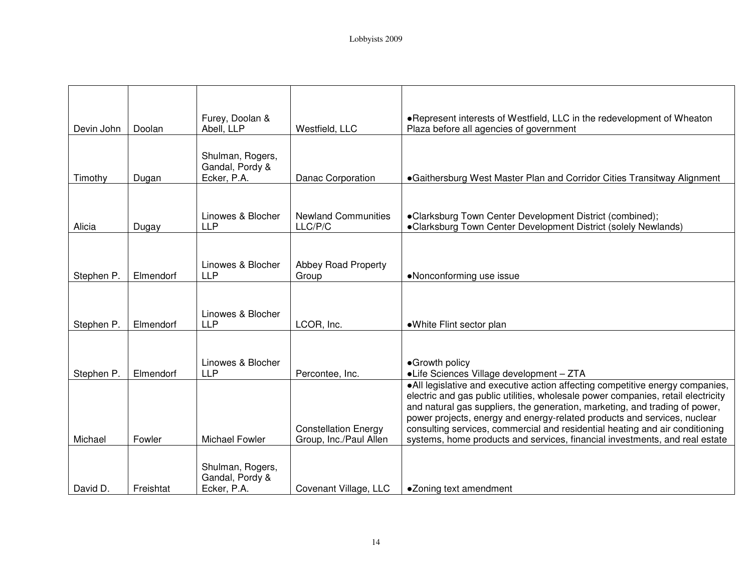|            |           | Furey, Doolan &                                    |                                                       | . Represent interests of Westfield, LLC in the redevelopment of Wheaton                                                                                                                                                                                                                                                                                                                                                                                                                     |
|------------|-----------|----------------------------------------------------|-------------------------------------------------------|---------------------------------------------------------------------------------------------------------------------------------------------------------------------------------------------------------------------------------------------------------------------------------------------------------------------------------------------------------------------------------------------------------------------------------------------------------------------------------------------|
| Devin John | Doolan    | Abell, LLP                                         | Westfield, LLC                                        | Plaza before all agencies of government                                                                                                                                                                                                                                                                                                                                                                                                                                                     |
| Timothy    | Dugan     | Shulman, Rogers,<br>Gandal, Pordy &<br>Ecker, P.A. | Danac Corporation                                     | •Gaithersburg West Master Plan and Corridor Cities Transitway Alignment                                                                                                                                                                                                                                                                                                                                                                                                                     |
| Alicia     | Dugay     | Linowes & Blocher<br><b>LLP</b>                    | <b>Newland Communities</b><br>LLC/P/C                 | •Clarksburg Town Center Development District (combined);<br>•Clarksburg Town Center Development District (solely Newlands)                                                                                                                                                                                                                                                                                                                                                                  |
| Stephen P. | Elmendorf | Linowes & Blocher<br><b>LLP</b>                    | Abbey Road Property<br>Group                          | •Nonconforming use issue                                                                                                                                                                                                                                                                                                                                                                                                                                                                    |
| Stephen P. | Elmendorf | Linowes & Blocher<br><b>LLP</b>                    | LCOR, Inc.                                            | •White Flint sector plan                                                                                                                                                                                                                                                                                                                                                                                                                                                                    |
| Stephen P. | Elmendorf | Linowes & Blocher<br><b>LLP</b>                    | Percontee, Inc.                                       | •Growth policy<br>•Life Sciences Village development - ZTA                                                                                                                                                                                                                                                                                                                                                                                                                                  |
| Michael    | Fowler    | <b>Michael Fowler</b>                              | <b>Constellation Energy</b><br>Group, Inc./Paul Allen | ·All legislative and executive action affecting competitive energy companies,<br>electric and gas public utilities, wholesale power companies, retail electricity<br>and natural gas suppliers, the generation, marketing, and trading of power,<br>power projects, energy and energy-related products and services, nuclear<br>consulting services, commercial and residential heating and air conditioning<br>systems, home products and services, financial investments, and real estate |
| David D.   | Freishtat | Shulman, Rogers,<br>Gandal, Pordy &<br>Ecker, P.A. | Covenant Village, LLC                                 | •Zoning text amendment                                                                                                                                                                                                                                                                                                                                                                                                                                                                      |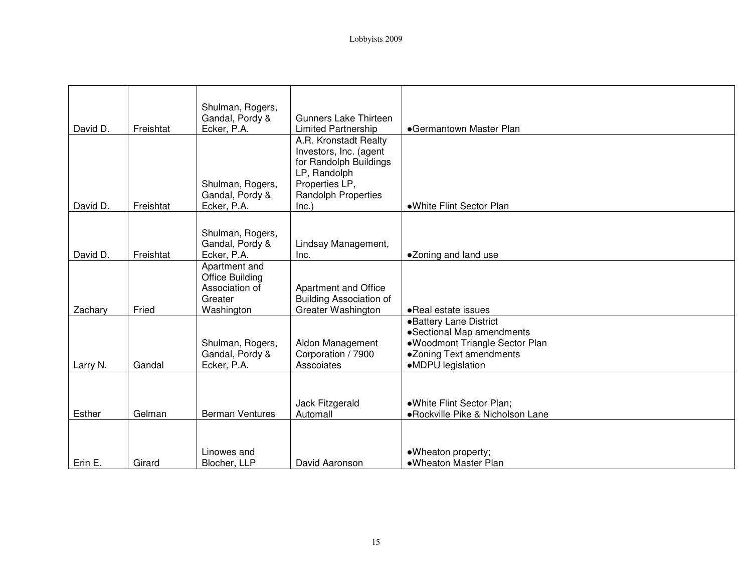| David D. | Freishtat | Shulman, Rogers,<br>Gandal, Pordy &<br>Ecker, P.A. | <b>Gunners Lake Thirteen</b><br><b>Limited Partnership</b> | •Germantown Master Plan                                      |
|----------|-----------|----------------------------------------------------|------------------------------------------------------------|--------------------------------------------------------------|
|          |           |                                                    | A.R. Kronstadt Realty                                      |                                                              |
|          |           |                                                    | Investors, Inc. (agent                                     |                                                              |
|          |           |                                                    | for Randolph Buildings                                     |                                                              |
|          |           | Shulman, Rogers,                                   | LP, Randolph<br>Properties LP,                             |                                                              |
|          |           | Gandal, Pordy &                                    | Randolph Properties                                        |                                                              |
| David D. | Freishtat | Ecker, P.A.                                        | Inc.)                                                      | •White Flint Sector Plan                                     |
|          |           |                                                    |                                                            |                                                              |
|          |           | Shulman, Rogers,                                   |                                                            |                                                              |
| David D. | Freishtat | Gandal, Pordy &                                    | Lindsay Management,                                        |                                                              |
|          |           | Ecker, P.A.<br>Apartment and                       | Inc.                                                       | •Zoning and land use                                         |
|          |           | Office Building                                    |                                                            |                                                              |
|          |           | Association of                                     | Apartment and Office                                       |                                                              |
|          |           | Greater                                            | <b>Building Association of</b>                             |                                                              |
| Zachary  | Fried     | Washington                                         | Greater Washington                                         | • Real estate issues                                         |
|          |           |                                                    |                                                            | •Battery Lane District                                       |
|          |           | Shulman, Rogers,                                   | Aldon Management                                           | • Sectional Map amendments<br>•Woodmont Triangle Sector Plan |
|          |           | Gandal, Pordy &                                    | Corporation / 7900                                         | •Zoning Text amendments                                      |
| Larry N. | Gandal    | Ecker, P.A.                                        | Asscoiates                                                 | •MDPU legislation                                            |
|          |           |                                                    |                                                            |                                                              |
|          |           |                                                    |                                                            |                                                              |
|          |           |                                                    | Jack Fitzgerald                                            | .White Flint Sector Plan;                                    |
| Esther   | Gelman    | <b>Berman Ventures</b>                             | Automall                                                   | ·Rockville Pike & Nicholson Lane                             |
|          |           |                                                    |                                                            |                                                              |
|          |           |                                                    |                                                            |                                                              |
| Erin E.  | Girard    | Linowes and<br>Blocher, LLP                        | David Aaronson                                             | •Wheaton property;<br>•Wheaton Master Plan                   |
|          |           |                                                    |                                                            |                                                              |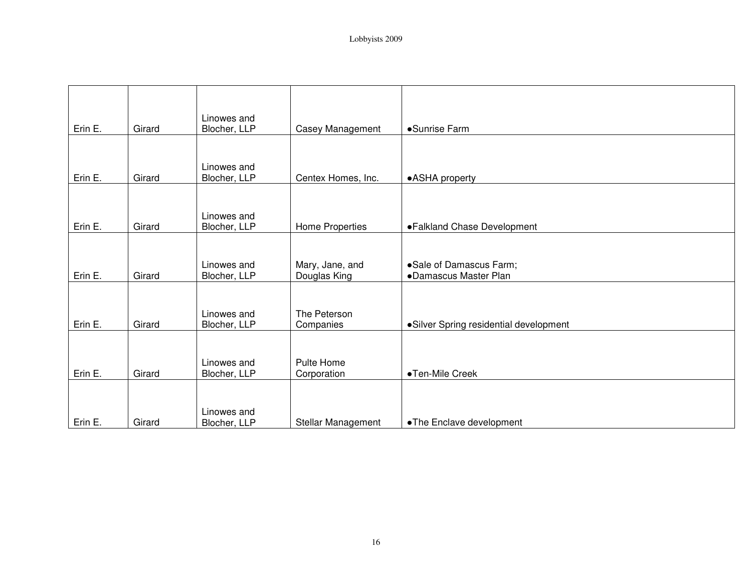| Erin E. | Girard | Linowes and<br>Blocher, LLP | Casey Management                | •Sunrise Farm                                    |
|---------|--------|-----------------------------|---------------------------------|--------------------------------------------------|
|         |        |                             |                                 |                                                  |
| Erin E. | Girard | Linowes and<br>Blocher, LLP | Centex Homes, Inc.              | •ASHA property                                   |
|         |        |                             |                                 |                                                  |
| Erin E. | Girard | Linowes and<br>Blocher, LLP | Home Properties                 | ·Falkland Chase Development                      |
|         |        |                             |                                 |                                                  |
| Erin E. | Girard | Linowes and<br>Blocher, LLP | Mary, Jane, and<br>Douglas King | •Sale of Damascus Farm;<br>•Damascus Master Plan |
|         |        |                             |                                 |                                                  |
| Erin E. | Girard | Linowes and<br>Blocher, LLP | The Peterson<br>Companies       | • Silver Spring residential development          |
|         |        |                             |                                 |                                                  |
| Erin E. | Girard | Linowes and<br>Blocher, LLP | Pulte Home<br>Corporation       | •Ten-Mile Creek                                  |
|         |        |                             |                                 |                                                  |
| Erin E. | Girard | Linowes and<br>Blocher, LLP | Stellar Management              | •The Enclave development                         |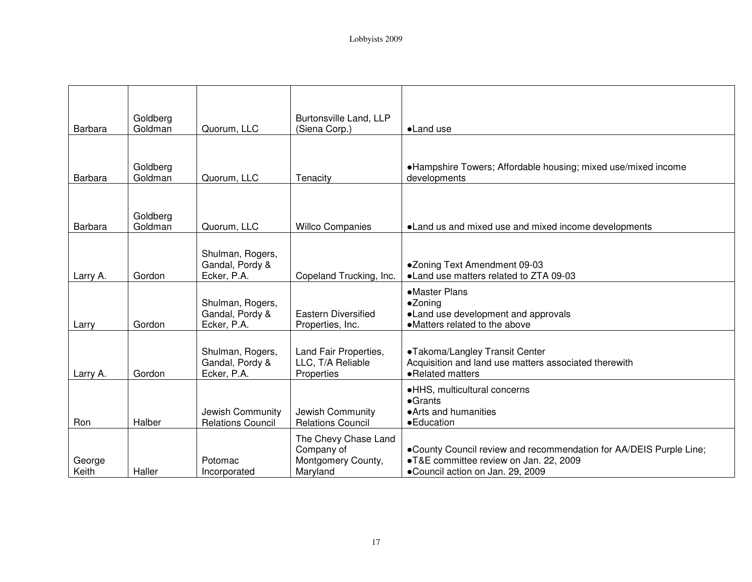| Barbara         | Goldberg<br>Goldman | Quorum, LLC                                        | Burtonsville Land, LLP<br>(Siena Corp.)                              | •Land use                                                                                                                                        |
|-----------------|---------------------|----------------------------------------------------|----------------------------------------------------------------------|--------------------------------------------------------------------------------------------------------------------------------------------------|
|                 |                     |                                                    |                                                                      |                                                                                                                                                  |
| Barbara         | Goldberg<br>Goldman | Quorum, LLC                                        | Tenacity                                                             | •Hampshire Towers; Affordable housing; mixed use/mixed income<br>developments                                                                    |
|                 |                     |                                                    |                                                                      |                                                                                                                                                  |
| Barbara         | Goldberg<br>Goldman | Quorum, LLC                                        | <b>Willco Companies</b>                                              | • Land us and mixed use and mixed income developments                                                                                            |
|                 |                     | Shulman, Rogers,<br>Gandal, Pordy &                |                                                                      | •Zoning Text Amendment 09-03                                                                                                                     |
| Larry A.        | Gordon              | Ecker, P.A.                                        | Copeland Trucking, Inc.                                              | • Land use matters related to ZTA 09-03                                                                                                          |
| Larry           | Gordon              | Shulman, Rogers,<br>Gandal, Pordy &<br>Ecker, P.A. | <b>Eastern Diversified</b><br>Properties, Inc.                       | •Master Plans<br>•Zoning<br>•Land use development and approvals<br>• Matters related to the above                                                |
| Larry A.        | Gordon              | Shulman, Rogers,<br>Gandal, Pordy &<br>Ecker, P.A. | Land Fair Properties,<br>LLC, T/A Reliable<br>Properties             | •Takoma/Langley Transit Center<br>Acquisition and land use matters associated therewith<br>•Related matters                                      |
| Ron             | Halber              | Jewish Community<br><b>Relations Council</b>       | Jewish Community<br><b>Relations Council</b>                         | ·HHS, multicultural concerns<br>$\bullet$ Grants<br>• Arts and humanities<br>• Education                                                         |
| George<br>Keith | Haller              | Potomac<br>Incorporated                            | The Chevy Chase Land<br>Company of<br>Montgomery County,<br>Maryland | •County Council review and recommendation for AA/DEIS Purple Line;<br>•T&E committee review on Jan. 22, 2009<br>•Council action on Jan. 29, 2009 |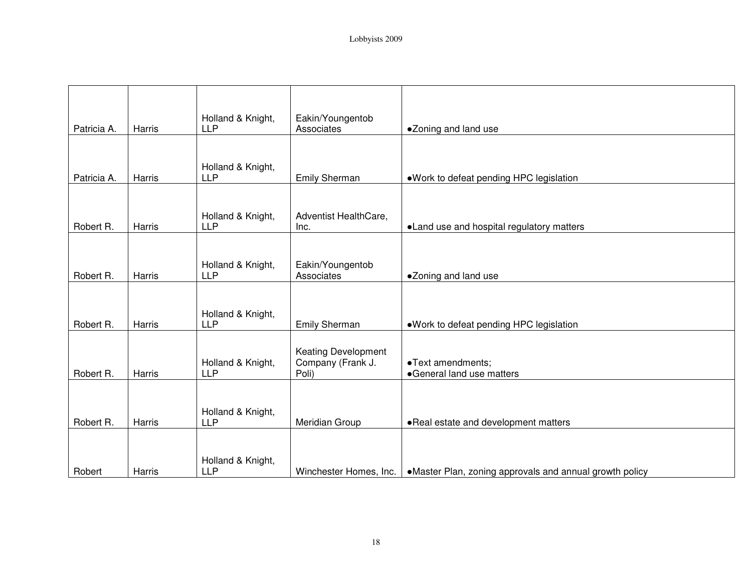| Patricia A. | Harris | Holland & Knight,<br><b>LLP</b> | Eakin/Youngentob<br>Associates | •Zoning and land use                                    |
|-------------|--------|---------------------------------|--------------------------------|---------------------------------------------------------|
|             |        |                                 |                                |                                                         |
|             |        | Holland & Knight,               |                                |                                                         |
| Patricia A. | Harris | <b>LLP</b>                      | Emily Sherman                  | . Work to defeat pending HPC legislation                |
|             |        |                                 |                                |                                                         |
|             |        | Holland & Knight,               | Adventist HealthCare,          |                                                         |
| Robert R.   | Harris | <b>LLP</b>                      | Inc.                           | • Land use and hospital regulatory matters              |
|             |        |                                 |                                |                                                         |
|             |        | Holland & Knight,               | Eakin/Youngentob               |                                                         |
| Robert R.   | Harris | <b>LLP</b>                      | Associates                     | •Zoning and land use                                    |
|             |        |                                 |                                |                                                         |
|             |        |                                 |                                |                                                         |
| Robert R.   | Harris | Holland & Knight,<br><b>LLP</b> | Emily Sherman                  | . Work to defeat pending HPC legislation                |
|             |        |                                 |                                |                                                         |
|             |        |                                 | <b>Keating Development</b>     |                                                         |
|             |        | Holland & Knight,               | Company (Frank J.              | •Text amendments;                                       |
| Robert R.   | Harris | <b>LLP</b>                      | Poli)                          | •General land use matters                               |
|             |        |                                 |                                |                                                         |
|             |        |                                 |                                |                                                         |
| Robert R.   | Harris | Holland & Knight,<br><b>LLP</b> | Meridian Group                 | . Real estate and development matters                   |
|             |        |                                 |                                |                                                         |
|             |        |                                 |                                |                                                         |
|             |        | Holland & Knight,               |                                |                                                         |
| Robert      | Harris | <b>LLP</b>                      | Winchester Homes, Inc.         | •Master Plan, zoning approvals and annual growth policy |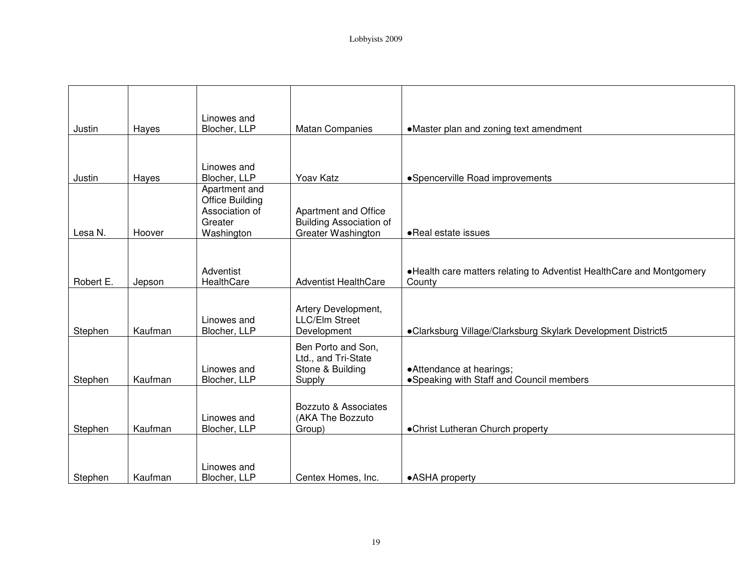| Justin    | Hayes   | Linowes and<br>Blocher, LLP                                                        | <b>Matan Companies</b>                                                       | •Master plan and zoning text amendment                                         |
|-----------|---------|------------------------------------------------------------------------------------|------------------------------------------------------------------------------|--------------------------------------------------------------------------------|
|           |         |                                                                                    |                                                                              |                                                                                |
| Justin    | Hayes   | Linowes and<br>Blocher, LLP                                                        | Yoav Katz                                                                    | •Spencerville Road improvements                                                |
| Lesa N.   | Hoover  | Apartment and<br><b>Office Building</b><br>Association of<br>Greater<br>Washington | Apartment and Office<br><b>Building Association of</b><br>Greater Washington | • Real estate issues                                                           |
|           |         |                                                                                    |                                                                              |                                                                                |
| Robert E. | Jepson  | Adventist<br>HealthCare                                                            | <b>Adventist HealthCare</b>                                                  | •Health care matters relating to Adventist HealthCare and Montgomery<br>County |
| Stephen   | Kaufman | Linowes and<br>Blocher, LLP                                                        | Artery Development,<br><b>LLC/Elm Street</b><br>Development                  | •Clarksburg Village/Clarksburg Skylark Development District5                   |
| Stephen   | Kaufman | Linowes and<br>Blocher, LLP                                                        | Ben Porto and Son,<br>Ltd., and Tri-State<br>Stone & Building<br>Supply      | • Attendance at hearings;<br>• Speaking with Staff and Council members         |
| Stephen   | Kaufman | Linowes and<br>Blocher, LLP                                                        | Bozzuto & Associates<br>(AKA The Bozzuto<br>Group)                           | •Christ Lutheran Church property                                               |
| Stephen   | Kaufman | Linowes and<br>Blocher, LLP                                                        | Centex Homes, Inc.                                                           | •ASHA property                                                                 |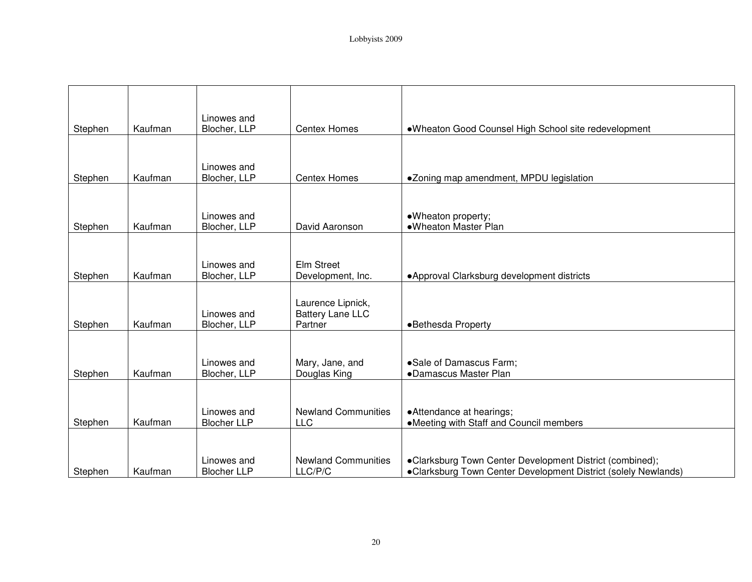|         |         | Linowes and                       |                                                         |                                                                                                                            |
|---------|---------|-----------------------------------|---------------------------------------------------------|----------------------------------------------------------------------------------------------------------------------------|
| Stephen | Kaufman | Blocher, LLP                      | <b>Centex Homes</b>                                     | .Wheaton Good Counsel High School site redevelopment                                                                       |
| Stephen | Kaufman | Linowes and<br>Blocher, LLP       | <b>Centex Homes</b>                                     | •Zoning map amendment, MPDU legislation                                                                                    |
| Stephen | Kaufman | Linowes and<br>Blocher, LLP       | David Aaronson                                          | ·Wheaton property;<br>•Wheaton Master Plan                                                                                 |
| Stephen | Kaufman | Linowes and<br>Blocher, LLP       | Elm Street<br>Development, Inc.                         | • Approval Clarksburg development districts                                                                                |
| Stephen | Kaufman | Linowes and<br>Blocher, LLP       | Laurence Lipnick,<br><b>Battery Lane LLC</b><br>Partner | •Bethesda Property                                                                                                         |
| Stephen | Kaufman | Linowes and<br>Blocher, LLP       | Mary, Jane, and<br>Douglas King                         | ·Sale of Damascus Farm;<br>•Damascus Master Plan                                                                           |
| Stephen | Kaufman | Linowes and<br><b>Blocher LLP</b> | <b>Newland Communities</b><br>LLC                       | • Attendance at hearings;<br>•Meeting with Staff and Council members                                                       |
| Stephen | Kaufman | Linowes and<br><b>Blocher LLP</b> | <b>Newland Communities</b><br>LLC/P/C                   | •Clarksburg Town Center Development District (combined);<br>•Clarksburg Town Center Development District (solely Newlands) |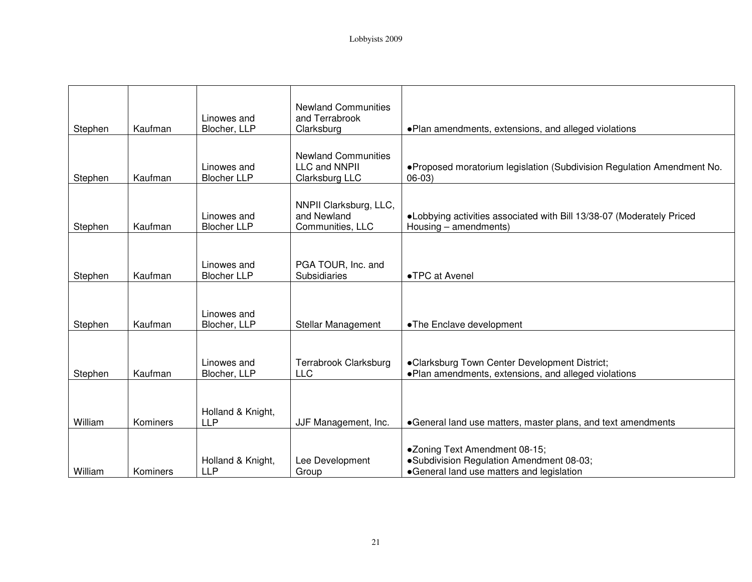| Stephen | Kaufman  | Linowes and<br>Blocher, LLP       | <b>Newland Communities</b><br>and Terrabrook<br>Clarksburg    | . Plan amendments, extensions, and alleged violations                                                                  |
|---------|----------|-----------------------------------|---------------------------------------------------------------|------------------------------------------------------------------------------------------------------------------------|
|         |          |                                   |                                                               |                                                                                                                        |
| Stephen | Kaufman  | Linowes and<br><b>Blocher LLP</b> | <b>Newland Communities</b><br>LLC and NNPII<br>Clarksburg LLC | .Proposed moratorium legislation (Subdivision Regulation Amendment No.<br>$06-03)$                                     |
| Stephen | Kaufman  | Linowes and<br><b>Blocher LLP</b> | NNPII Clarksburg, LLC,<br>and Newland<br>Communities, LLC     | . Lobbying activities associated with Bill 13/38-07 (Moderately Priced<br>Housing – amendments)                        |
|         |          |                                   |                                                               |                                                                                                                        |
| Stephen | Kaufman  | Linowes and<br><b>Blocher LLP</b> | PGA TOUR, Inc. and<br>Subsidiaries                            | •TPC at Avenel                                                                                                         |
|         |          |                                   |                                                               |                                                                                                                        |
| Stephen | Kaufman  | Linowes and<br>Blocher, LLP       | Stellar Management                                            | •The Enclave development                                                                                               |
|         |          |                                   |                                                               |                                                                                                                        |
| Stephen | Kaufman  | Linowes and<br>Blocher, LLP       | Terrabrook Clarksburg<br><b>LLC</b>                           | •Clarksburg Town Center Development District;<br>. Plan amendments, extensions, and alleged violations                 |
|         |          |                                   |                                                               |                                                                                                                        |
| William | Kominers | Holland & Knight,<br><b>LLP</b>   | JJF Management, Inc.                                          | •General land use matters, master plans, and text amendments                                                           |
| William | Kominers | Holland & Knight,<br><b>LLP</b>   | Lee Development<br>Group                                      | •Zoning Text Amendment 08-15;<br>·Subdivision Regulation Amendment 08-03;<br>•General land use matters and legislation |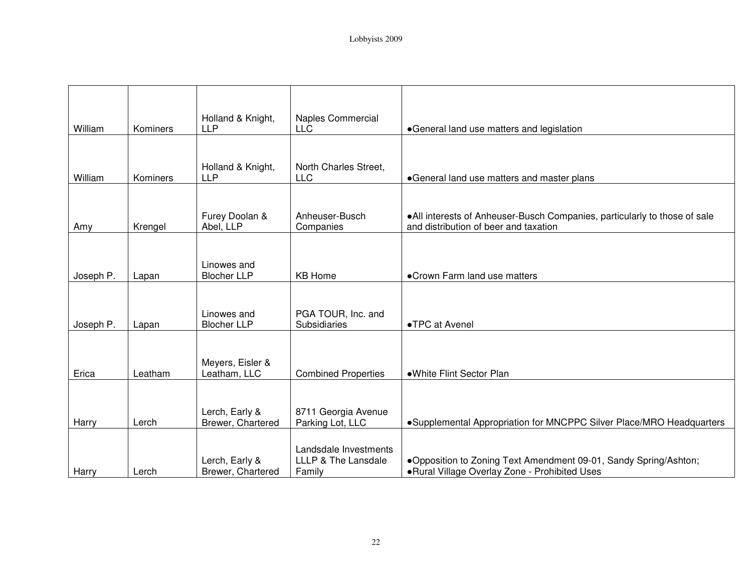| William   | Kominers | Holland & Knight,<br><b>LLP</b>     | <b>Naples Commercial</b><br>LLC         | •General land use matters and legislation                                                                          |
|-----------|----------|-------------------------------------|-----------------------------------------|--------------------------------------------------------------------------------------------------------------------|
|           |          |                                     |                                         |                                                                                                                    |
| William   | Kominers | Holland & Knight,<br><b>LLP</b>     | North Charles Street,<br><b>LLC</b>     | •General land use matters and master plans                                                                         |
|           |          |                                     |                                         |                                                                                                                    |
| Amy       | Krengel  | Furey Doolan &<br>Abel, LLP         | Anheuser-Busch<br>Companies             | •All interests of Anheuser-Busch Companies, particularly to those of sale<br>and distribution of beer and taxation |
|           |          |                                     |                                         |                                                                                                                    |
| Joseph P. | Lapan    | Linowes and<br><b>Blocher LLP</b>   | <b>KB Home</b>                          | •Crown Farm land use matters                                                                                       |
|           |          |                                     |                                         |                                                                                                                    |
| Joseph P. | Lapan    | Linowes and<br><b>Blocher LLP</b>   | PGA TOUR, Inc. and<br>Subsidiaries      | •TPC at Avenel                                                                                                     |
|           |          |                                     |                                         |                                                                                                                    |
| Erica     | Leatham  | Meyers, Eisler &<br>Leatham, LLC    | <b>Combined Properties</b>              | •White Flint Sector Plan                                                                                           |
|           |          |                                     |                                         |                                                                                                                    |
| Harry     | Lerch    | Lerch, Early &<br>Brewer, Chartered | 8711 Georgia Avenue<br>Parking Lot, LLC | •Supplemental Appropriation for MNCPPC Silver Place/MRO Headquarters                                               |
|           |          |                                     | Landsdale Investments                   |                                                                                                                    |
| Harry     | Lerch    | Lerch, Early &<br>Brewer, Chartered | LLLP & The Lansdale<br>Family           | .Opposition to Zoning Text Amendment 09-01, Sandy Spring/Ashton;<br>. Rural Village Overlay Zone - Prohibited Uses |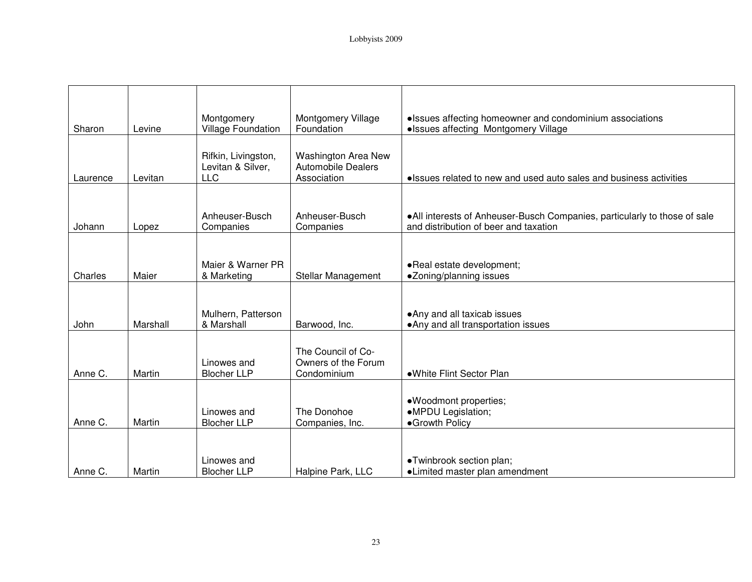| Sharon   | Levine   | Montgomery<br>Village Foundation                       | Montgomery Village<br>Foundation                                       | • Issues affecting homeowner and condominium associations<br>• Issues affecting Montgomery Village                  |
|----------|----------|--------------------------------------------------------|------------------------------------------------------------------------|---------------------------------------------------------------------------------------------------------------------|
| Laurence | Levitan  | Rifkin, Livingston,<br>Levitan & Silver,<br><b>LLC</b> | <b>Washington Area New</b><br><b>Automobile Dealers</b><br>Association | • Issues related to new and used auto sales and business activities                                                 |
|          |          |                                                        |                                                                        |                                                                                                                     |
| Johann   | Lopez    | Anheuser-Busch<br>Companies                            | Anheuser-Busch<br>Companies                                            | • All interests of Anheuser-Busch Companies, particularly to those of sale<br>and distribution of beer and taxation |
|          |          |                                                        |                                                                        |                                                                                                                     |
| Charles  | Maier    | Maier & Warner PR<br>& Marketing                       | Stellar Management                                                     | •Real estate development;<br>·Zoning/planning issues                                                                |
|          |          |                                                        |                                                                        |                                                                                                                     |
| John     | Marshall | Mulhern, Patterson<br>& Marshall                       | Barwood, Inc.                                                          | • Any and all taxicab issues<br>• Any and all transportation issues                                                 |
| Anne C.  | Martin   | Linowes and<br><b>Blocher LLP</b>                      | The Council of Co-<br>Owners of the Forum<br>Condominium               | •White Flint Sector Plan                                                                                            |
| Anne C.  | Martin   | Linowes and<br><b>Blocher LLP</b>                      | The Donohoe<br>Companies, Inc.                                         | ·Woodmont properties;<br>·MPDU Legislation;<br>•Growth Policy                                                       |
| Anne C.  | Martin   | Linowes and<br><b>Blocher LLP</b>                      | Halpine Park, LLC                                                      | •Twinbrook section plan;<br>•Limited master plan amendment                                                          |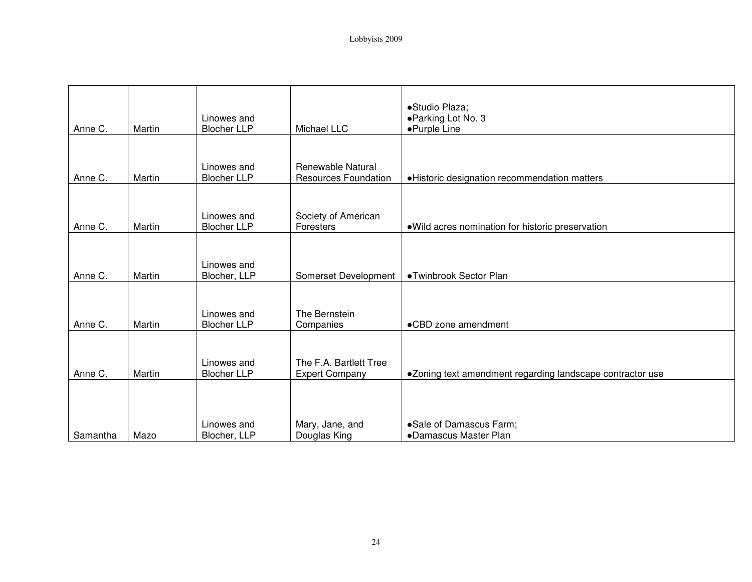| Anne C.  | Martin | Linowes and<br><b>Blocher LLP</b> | Michael LLC                                      | ·Studio Plaza;<br>• Parking Lot No. 3<br>•Purple Line     |
|----------|--------|-----------------------------------|--------------------------------------------------|-----------------------------------------------------------|
| Anne C.  | Martin | Linowes and<br><b>Blocher LLP</b> | Renewable Natural<br><b>Resources Foundation</b> | ·Historic designation recommendation matters              |
| Anne C.  | Martin | Linowes and<br><b>Blocher LLP</b> | Society of American<br>Foresters                 | · Wild acres nomination for historic preservation         |
| Anne C.  | Martin | Linowes and<br>Blocher, LLP       | Somerset Development                             | •Twinbrook Sector Plan                                    |
| Anne C.  | Martin | Linowes and<br><b>Blocher LLP</b> | The Bernstein<br>Companies                       | •CBD zone amendment                                       |
| Anne C.  | Martin | Linowes and<br><b>Blocher LLP</b> | The F.A. Bartlett Tree<br><b>Expert Company</b>  | •Zoning text amendment regarding landscape contractor use |
| Samantha | Mazo   | Linowes and<br>Blocher, LLP       | Mary, Jane, and<br>Douglas King                  | ·Sale of Damascus Farm;<br>•Damascus Master Plan          |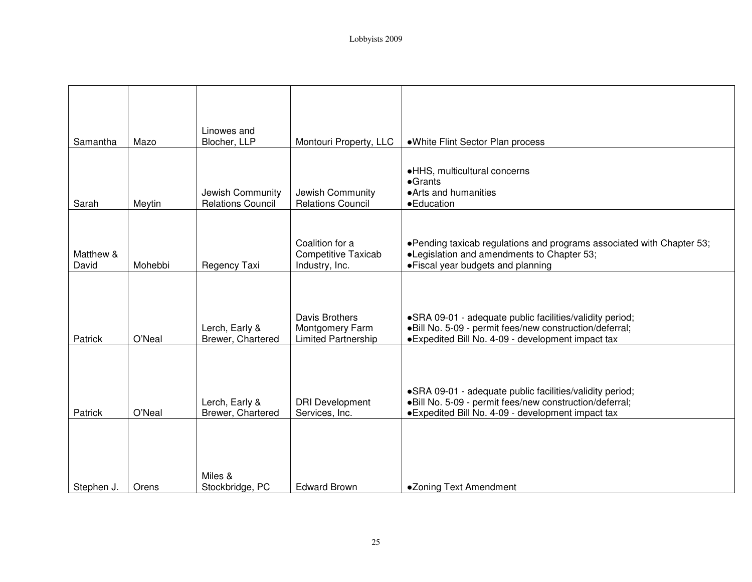| Samantha           | Mazo    | Linowes and<br>Blocher, LLP                  | Montouri Property, LLC                                                 | •White Flint Sector Plan process                                                                                                                                           |
|--------------------|---------|----------------------------------------------|------------------------------------------------------------------------|----------------------------------------------------------------------------------------------------------------------------------------------------------------------------|
| Sarah              | Meytin  | Jewish Community<br><b>Relations Council</b> | Jewish Community<br><b>Relations Council</b>                           | •HHS, multicultural concerns<br>$\bullet$ Grants<br>• Arts and humanities<br>• Education                                                                                   |
| Matthew &<br>David | Mohebbi | Regency Taxi                                 | Coalition for a<br><b>Competitive Taxicab</b><br>Industry, Inc.        | •Pending taxicab regulations and programs associated with Chapter 53;<br>•Legislation and amendments to Chapter 53;<br>• Fiscal year budgets and planning                  |
| Patrick            | O'Neal  | Lerch, Early &<br>Brewer, Chartered          | <b>Davis Brothers</b><br>Montgomery Farm<br><b>Limited Partnership</b> | • SRA 09-01 - adequate public facilities/validity period;<br>·Bill No. 5-09 - permit fees/new construction/deferral;<br>• Expedited Bill No. 4-09 - development impact tax |
| Patrick            | O'Neal  | Lerch, Early &<br>Brewer, Chartered          | <b>DRI</b> Development<br>Services, Inc.                               | ·SRA 09-01 - adequate public facilities/validity period;<br>·Bill No. 5-09 - permit fees/new construction/deferral;<br>• Expedited Bill No. 4-09 - development impact tax  |
| Stephen J.         | Orens   | Miles &<br>Stockbridge, PC                   | <b>Edward Brown</b>                                                    | •Zoning Text Amendment                                                                                                                                                     |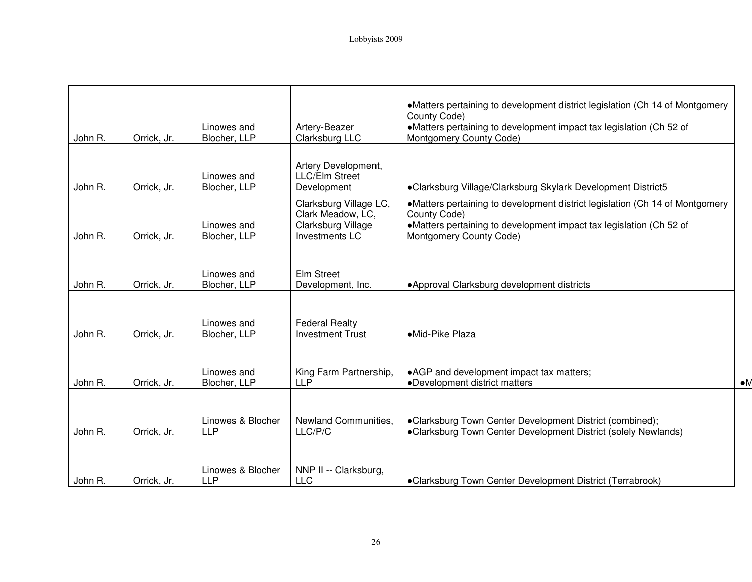|         |             | Linowes and                     | Artery-Beazer                                                                       | •Matters pertaining to development district legislation (Ch 14 of Montgomery<br>County Code)<br>•Matters pertaining to development impact tax legislation (Ch 52 of                            |             |
|---------|-------------|---------------------------------|-------------------------------------------------------------------------------------|------------------------------------------------------------------------------------------------------------------------------------------------------------------------------------------------|-------------|
| John R. | Orrick, Jr. | Blocher, LLP                    | Clarksburg LLC                                                                      | Montgomery County Code)                                                                                                                                                                        |             |
| John R. | Orrick, Jr. | Linowes and<br>Blocher, LLP     | Artery Development,<br>LLC/Elm Street<br>Development                                | •Clarksburg Village/Clarksburg Skylark Development District5                                                                                                                                   |             |
| John R. | Orrick, Jr. | Linowes and<br>Blocher, LLP     | Clarksburg Village LC,<br>Clark Meadow, LC,<br>Clarksburg Village<br>Investments LC | •Matters pertaining to development district legislation (Ch 14 of Montgomery<br>County Code)<br>•Matters pertaining to development impact tax legislation (Ch 52 of<br>Montgomery County Code) |             |
| John R. | Orrick, Jr. | Linowes and<br>Blocher, LLP     | Elm Street<br>Development, Inc.                                                     | • Approval Clarksburg development districts                                                                                                                                                    |             |
| John R. | Orrick, Jr. | Linowes and<br>Blocher, LLP     | <b>Federal Realty</b><br><b>Investment Trust</b>                                    | •Mid-Pike Plaza                                                                                                                                                                                |             |
| John R. | Orrick, Jr. | Linowes and<br>Blocher, LLP     | King Farm Partnership,<br><b>LLP</b>                                                | • AGP and development impact tax matters;<br>•Development district matters                                                                                                                     | $\bullet$ M |
| John R. | Orrick, Jr. | Linowes & Blocher<br><b>LLP</b> | Newland Communities,<br>LLC/P/C                                                     | •Clarksburg Town Center Development District (combined);<br>•Clarksburg Town Center Development District (solely Newlands)                                                                     |             |
| John R. | Orrick, Jr. | Linowes & Blocher<br><b>LLP</b> | NNP II -- Clarksburg,<br><b>LLC</b>                                                 | •Clarksburg Town Center Development District (Terrabrook)                                                                                                                                      |             |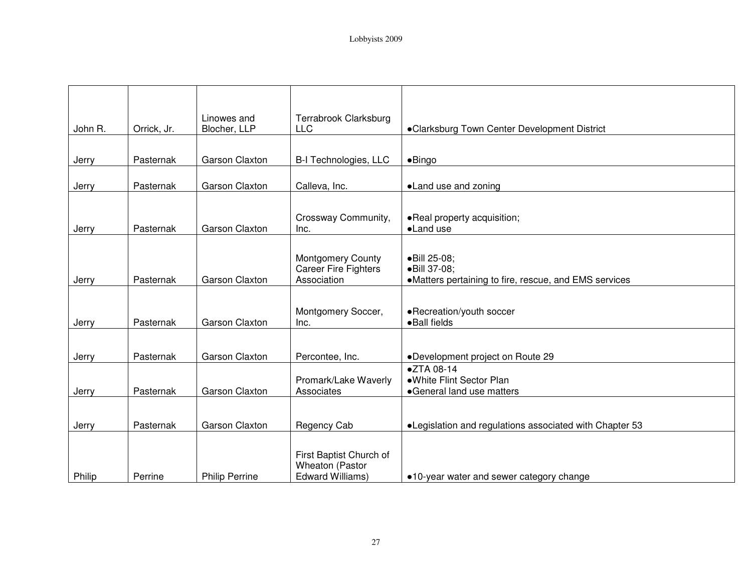| John R. | Orrick, Jr. | Linowes and<br>Blocher, LLP | Terrabrook Clarksburg<br><b>LLC</b>                                    | •Clarksburg Town Center Development District                                          |
|---------|-------------|-----------------------------|------------------------------------------------------------------------|---------------------------------------------------------------------------------------|
|         |             |                             |                                                                        |                                                                                       |
| Jerry   | Pasternak   | Garson Claxton              | B-I Technologies, LLC                                                  | $\bullet$ Bingo                                                                       |
| Jerry   | Pasternak   | Garson Claxton              | Calleva, Inc.                                                          | •Land use and zoning                                                                  |
| Jerry   | Pasternak   | Garson Claxton              | Crossway Community,<br>Inc.                                            | . Real property acquisition;<br>•Land use                                             |
| Jerry   | Pasternak   | Garson Claxton              | <b>Montgomery County</b><br><b>Career Fire Fighters</b><br>Association | ·Bill 25-08;<br>·Bill 37-08;<br>•Matters pertaining to fire, rescue, and EMS services |
| Jerry   | Pasternak   | Garson Claxton              | Montgomery Soccer,<br>Inc.                                             | •Recreation/youth soccer<br>• Ball fields                                             |
|         |             |                             |                                                                        |                                                                                       |
| Jerry   | Pasternak   | Garson Claxton              | Percontee, Inc.                                                        | •Development project on Route 29                                                      |
| Jerry   | Pasternak   | Garson Claxton              | Promark/Lake Waverly<br>Associates                                     | •ZTA 08-14<br>·White Flint Sector Plan<br>•General land use matters                   |
| Jerry   | Pasternak   | Garson Claxton              | Regency Cab                                                            | •Legislation and regulations associated with Chapter 53                               |
| Philip  | Perrine     | <b>Philip Perrine</b>       | First Baptist Church of<br>Wheaton (Pastor<br><b>Edward Williams)</b>  | •10-year water and sewer category change                                              |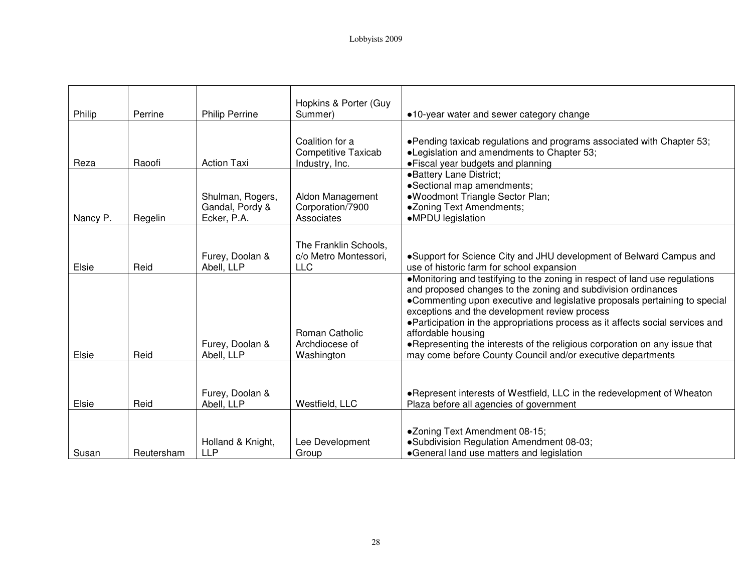|          |            |                       | Hopkins & Porter (Guy      |                                                                                                                             |
|----------|------------|-----------------------|----------------------------|-----------------------------------------------------------------------------------------------------------------------------|
| Philip   | Perrine    | <b>Philip Perrine</b> | Summer)                    | •10-year water and sewer category change                                                                                    |
|          |            |                       |                            |                                                                                                                             |
|          |            |                       | Coalition for a            | •Pending taxicab regulations and programs associated with Chapter 53;                                                       |
|          |            |                       | <b>Competitive Taxicab</b> | •Legislation and amendments to Chapter 53;                                                                                  |
| Reza     | Raoofi     | <b>Action Taxi</b>    | Industry, Inc.             | • Fiscal year budgets and planning                                                                                          |
|          |            |                       |                            | •Battery Lane District;                                                                                                     |
|          |            |                       |                            | •Sectional map amendments;                                                                                                  |
|          |            | Shulman, Rogers,      | Aldon Management           | ·Woodmont Triangle Sector Plan;                                                                                             |
|          |            | Gandal, Pordy &       | Corporation/7900           | •Zoning Text Amendments;                                                                                                    |
| Nancy P. | Regelin    | Ecker, P.A.           | Associates                 | •MPDU legislation                                                                                                           |
|          |            |                       |                            |                                                                                                                             |
|          |            |                       | The Franklin Schools,      |                                                                                                                             |
|          |            | Furey, Doolan &       | c/o Metro Montessori,      | •Support for Science City and JHU development of Belward Campus and                                                         |
| Elsie    | Reid       | Abell, LLP            | <b>LLC</b>                 | use of historic farm for school expansion                                                                                   |
|          |            |                       |                            | •Monitoring and testifying to the zoning in respect of land use regulations                                                 |
|          |            |                       |                            | and proposed changes to the zoning and subdivision ordinances                                                               |
|          |            |                       |                            | •Commenting upon executive and legislative proposals pertaining to special<br>exceptions and the development review process |
|          |            |                       |                            | • Participation in the appropriations process as it affects social services and                                             |
|          |            |                       | Roman Catholic             | affordable housing                                                                                                          |
|          |            | Furey, Doolan &       | Archdiocese of             | . Representing the interests of the religious corporation on any issue that                                                 |
| Elsie    | Reid       | Abell, LLP            | Washington                 | may come before County Council and/or executive departments                                                                 |
|          |            |                       |                            |                                                                                                                             |
|          |            |                       |                            |                                                                                                                             |
|          |            | Furey, Doolan &       |                            | •Represent interests of Westfield, LLC in the redevelopment of Wheaton                                                      |
| Elsie    | Reid       | Abell, LLP            | Westfield, LLC             | Plaza before all agencies of government                                                                                     |
|          |            |                       |                            |                                                                                                                             |
|          |            |                       |                            |                                                                                                                             |
|          |            |                       |                            | •Zoning Text Amendment 08-15;                                                                                               |
|          |            | Holland & Knight,     | Lee Development            | ·Subdivision Regulation Amendment 08-03;                                                                                    |
| Susan    | Reutersham | <b>LLP</b>            | Group                      | •General land use matters and legislation                                                                                   |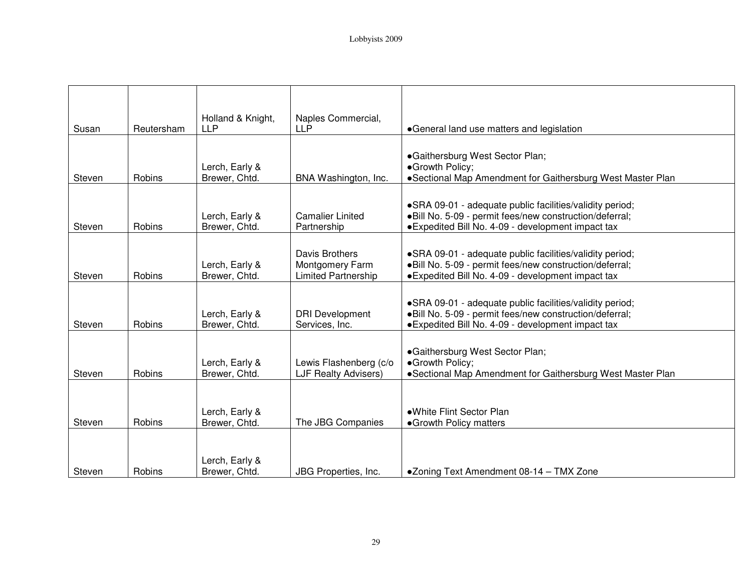| Susan  | Reutersham    | Holland & Knight,<br><b>LLP</b> | Naples Commercial,<br><b>LLP</b>                                | •General land use matters and legislation                                                                                                                                  |
|--------|---------------|---------------------------------|-----------------------------------------------------------------|----------------------------------------------------------------------------------------------------------------------------------------------------------------------------|
|        |               |                                 |                                                                 |                                                                                                                                                                            |
|        |               | Lerch, Early &                  |                                                                 | •Gaithersburg West Sector Plan;<br>•Growth Policy;                                                                                                                         |
| Steven | <b>Robins</b> | Brewer, Chtd.                   | BNA Washington, Inc.                                            | •Sectional Map Amendment for Gaithersburg West Master Plan                                                                                                                 |
| Steven | Robins        | Lerch, Early &<br>Brewer, Chtd. | <b>Camalier Linited</b><br>Partnership                          | • SRA 09-01 - adequate public facilities/validity period;<br>.Bill No. 5-09 - permit fees/new construction/deferral;<br>• Expedited Bill No. 4-09 - development impact tax |
| Steven | Robins        | Lerch, Early &<br>Brewer, Chtd. | Davis Brothers<br>Montgomery Farm<br><b>Limited Partnership</b> | • SRA 09-01 - adequate public facilities/validity period;<br>·Bill No. 5-09 - permit fees/new construction/deferral;<br>• Expedited Bill No. 4-09 - development impact tax |
| Steven | Robins        | Lerch, Early &<br>Brewer, Chtd. | <b>DRI Development</b><br>Services, Inc.                        | • SRA 09-01 - adequate public facilities/validity period;<br>·Bill No. 5-09 - permit fees/new construction/deferral;<br>• Expedited Bill No. 4-09 - development impact tax |
| Steven | Robins        | Lerch, Early &<br>Brewer, Chtd. | Lewis Flashenberg (c/o<br><b>LJF Realty Advisers)</b>           | •Gaithersburg West Sector Plan;<br>•Growth Policy;<br>•Sectional Map Amendment for Gaithersburg West Master Plan                                                           |
| Steven | Robins        | Lerch, Early &<br>Brewer, Chtd. | The JBG Companies                                               | •White Flint Sector Plan<br>•Growth Policy matters                                                                                                                         |
| Steven | <b>Robins</b> | Lerch, Early &<br>Brewer, Chtd. | JBG Properties, Inc.                                            | ●Zoning Text Amendment 08-14 – TMX Zone                                                                                                                                    |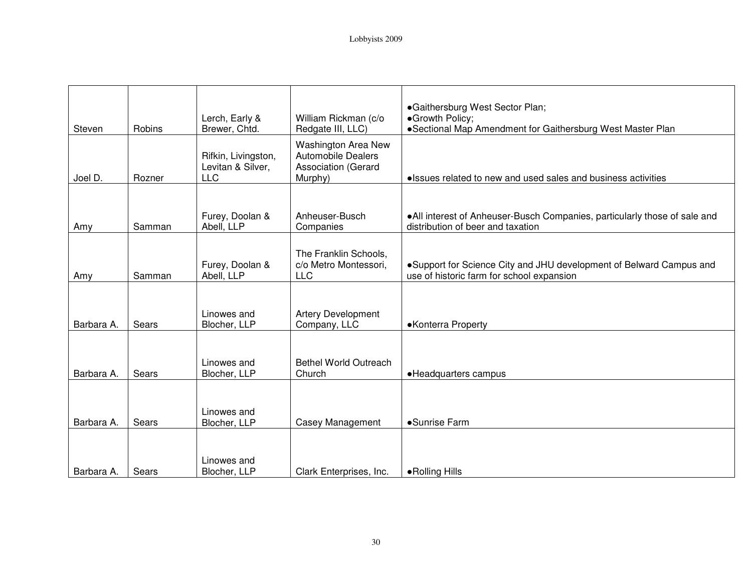| Steven     | Robins | Lerch, Early &<br>Brewer, Chtd.                        | William Rickman (c/o<br>Redgate III, LLC)                                          | •Gaithersburg West Sector Plan;<br>•Growth Policy;<br>•Sectional Map Amendment for Gaithersburg West Master Plan |
|------------|--------|--------------------------------------------------------|------------------------------------------------------------------------------------|------------------------------------------------------------------------------------------------------------------|
| Joel D.    | Rozner | Rifkin, Livingston,<br>Levitan & Silver,<br><b>LLC</b> | <b>Washington Area New</b><br>Automobile Dealers<br>Association (Gerard<br>Murphy) | • Issues related to new and used sales and business activities                                                   |
|            |        |                                                        |                                                                                    |                                                                                                                  |
| Amy        | Samman | Furey, Doolan &<br>Abell, LLP                          | Anheuser-Busch<br>Companies                                                        | •All interest of Anheuser-Busch Companies, particularly those of sale and<br>distribution of beer and taxation   |
| Amy        | Samman | Furey, Doolan &<br>Abell, LLP                          | The Franklin Schools,<br>c/o Metro Montessori,<br><b>LLC</b>                       | •Support for Science City and JHU development of Belward Campus and<br>use of historic farm for school expansion |
|            |        |                                                        |                                                                                    |                                                                                                                  |
| Barbara A. | Sears  | Linowes and<br>Blocher, LLP                            | Artery Development<br>Company, LLC                                                 | •Konterra Property                                                                                               |
| Barbara A. | Sears  | Linowes and<br>Blocher, LLP                            | <b>Bethel World Outreach</b><br>Church                                             | • Headquarters campus                                                                                            |
|            |        |                                                        |                                                                                    |                                                                                                                  |
| Barbara A. | Sears  | Linowes and<br>Blocher, LLP                            | Casey Management                                                                   | •Sunrise Farm                                                                                                    |
| Barbara A. | Sears  | Linowes and<br>Blocher, LLP                            | Clark Enterprises, Inc.                                                            | • Rolling Hills                                                                                                  |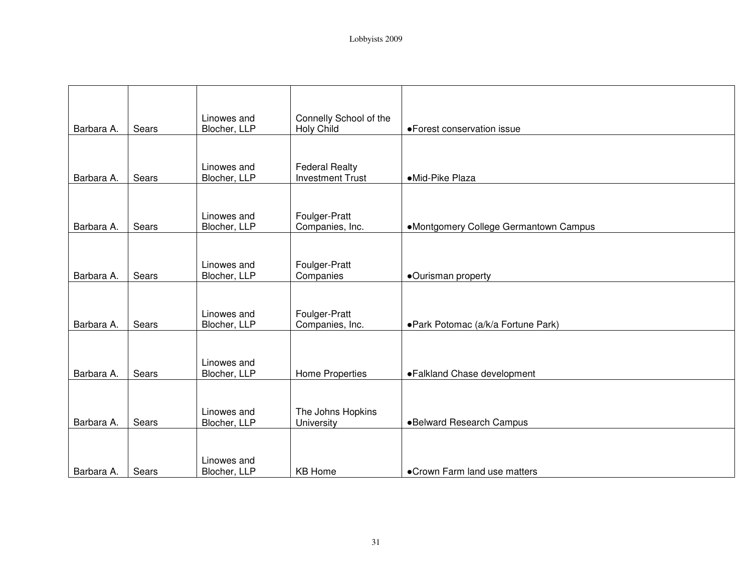| Barbara A. | Sears | Linowes and<br>Blocher, LLP | Connelly School of the<br><b>Holy Child</b>      | • Forest conservation issue           |
|------------|-------|-----------------------------|--------------------------------------------------|---------------------------------------|
|            |       |                             |                                                  |                                       |
| Barbara A. | Sears | Linowes and<br>Blocher, LLP | <b>Federal Realty</b><br><b>Investment Trust</b> | ·Mid-Pike Plaza                       |
|            |       |                             |                                                  |                                       |
| Barbara A. | Sears | Linowes and<br>Blocher, LLP | Foulger-Pratt<br>Companies, Inc.                 | •Montgomery College Germantown Campus |
|            |       |                             |                                                  |                                       |
| Barbara A. | Sears | Linowes and<br>Blocher, LLP | Foulger-Pratt<br>Companies                       | ·Ourisman property                    |
|            |       |                             |                                                  |                                       |
| Barbara A. | Sears | Linowes and<br>Blocher, LLP | Foulger-Pratt<br>Companies, Inc.                 | • Park Potomac (a/k/a Fortune Park)   |
|            |       |                             |                                                  |                                       |
| Barbara A. | Sears | Linowes and<br>Blocher, LLP | Home Properties                                  | • Falkland Chase development          |
|            |       |                             |                                                  |                                       |
| Barbara A. | Sears | Linowes and<br>Blocher, LLP | The Johns Hopkins<br>University                  | •Belward Research Campus              |
|            |       |                             |                                                  |                                       |
| Barbara A. | Sears | Linowes and<br>Blocher, LLP | <b>KB Home</b>                                   | • Crown Farm land use matters         |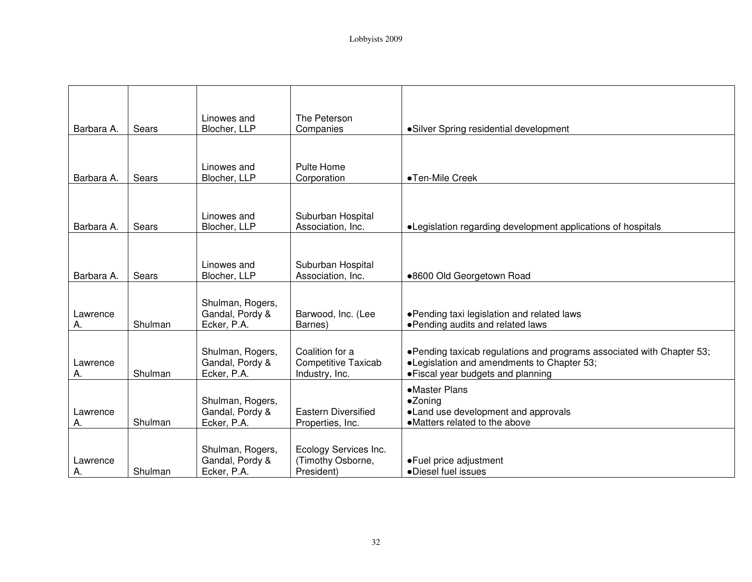|                |         | Linowes and                                        | The Peterson                                                    |                                                                                                                                                           |
|----------------|---------|----------------------------------------------------|-----------------------------------------------------------------|-----------------------------------------------------------------------------------------------------------------------------------------------------------|
| Barbara A.     | Sears   | Blocher, LLP                                       | Companies                                                       | • Silver Spring residential development                                                                                                                   |
| Barbara A.     | Sears   | Linowes and<br>Blocher, LLP                        | Pulte Home<br>Corporation                                       | •Ten-Mile Creek                                                                                                                                           |
| Barbara A.     | Sears   | Linowes and<br>Blocher, LLP                        | Suburban Hospital<br>Association, Inc.                          | •Legislation regarding development applications of hospitals                                                                                              |
| Barbara A.     | Sears   | Linowes and<br>Blocher, LLP                        | Suburban Hospital<br>Association, Inc.                          | .8600 Old Georgetown Road                                                                                                                                 |
| Lawrence<br>Α. | Shulman | Shulman, Rogers,<br>Gandal, Pordy &<br>Ecker, P.A. | Barwood, Inc. (Lee<br>Barnes)                                   | • Pending taxi legislation and related laws<br>• Pending audits and related laws                                                                          |
| Lawrence<br>Α. | Shulman | Shulman, Rogers,<br>Gandal, Pordy &<br>Ecker, P.A. | Coalition for a<br><b>Competitive Taxicab</b><br>Industry, Inc. | •Pending taxicab regulations and programs associated with Chapter 53;<br>•Legislation and amendments to Chapter 53;<br>• Fiscal year budgets and planning |
| Lawrence<br>А. | Shulman | Shulman, Rogers,<br>Gandal, Pordy &<br>Ecker, P.A. | <b>Eastern Diversified</b><br>Properties, Inc.                  | •Master Plans<br>•Zoning<br>•Land use development and approvals<br>• Matters related to the above                                                         |
| Lawrence<br>Α. | Shulman | Shulman, Rogers,<br>Gandal, Pordy &<br>Ecker, P.A. | Ecology Services Inc.<br>(Timothy Osborne,<br>President)        | • Fuel price adjustment<br>·Diesel fuel issues                                                                                                            |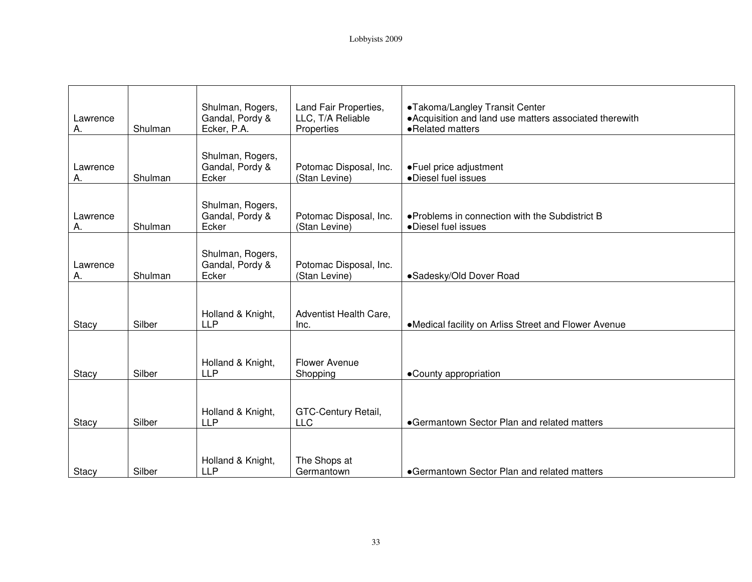| Lawrence<br>А. | Shulman | Shulman, Rogers,<br>Gandal, Pordy &<br>Ecker, P.A. | Land Fair Properties,<br>LLC, T/A Reliable<br>Properties | •Takoma/Langley Transit Center<br>• Acquisition and land use matters associated therewith<br>•Related matters |
|----------------|---------|----------------------------------------------------|----------------------------------------------------------|---------------------------------------------------------------------------------------------------------------|
| Lawrence<br>Α. | Shulman | Shulman, Rogers,<br>Gandal, Pordy &<br>Ecker       | Potomac Disposal, Inc.<br>(Stan Levine)                  | • Fuel price adjustment<br>·Diesel fuel issues                                                                |
| Lawrence<br>А. | Shulman | Shulman, Rogers,<br>Gandal, Pordy &<br>Ecker       | Potomac Disposal, Inc.<br>(Stan Levine)                  | • Problems in connection with the Subdistrict B<br>·Diesel fuel issues                                        |
| Lawrence<br>А. | Shulman | Shulman, Rogers,<br>Gandal, Pordy &<br>Ecker       | Potomac Disposal, Inc.<br>(Stan Levine)                  | •Sadesky/Old Dover Road                                                                                       |
| Stacy          | Silber  | Holland & Knight,<br><b>LLP</b>                    | Adventist Health Care,<br>Inc.                           | •Medical facility on Arliss Street and Flower Avenue                                                          |
| Stacy          | Silber  | Holland & Knight,<br><b>LLP</b>                    | <b>Flower Avenue</b><br>Shopping                         | •County appropriation                                                                                         |
| Stacy          | Silber  | Holland & Knight,<br><b>LLP</b>                    | GTC-Century Retail,<br><b>LLC</b>                        | •Germantown Sector Plan and related matters                                                                   |
| Stacy          | Silber  | Holland & Knight,<br><b>LLP</b>                    | The Shops at<br>Germantown                               | •Germantown Sector Plan and related matters                                                                   |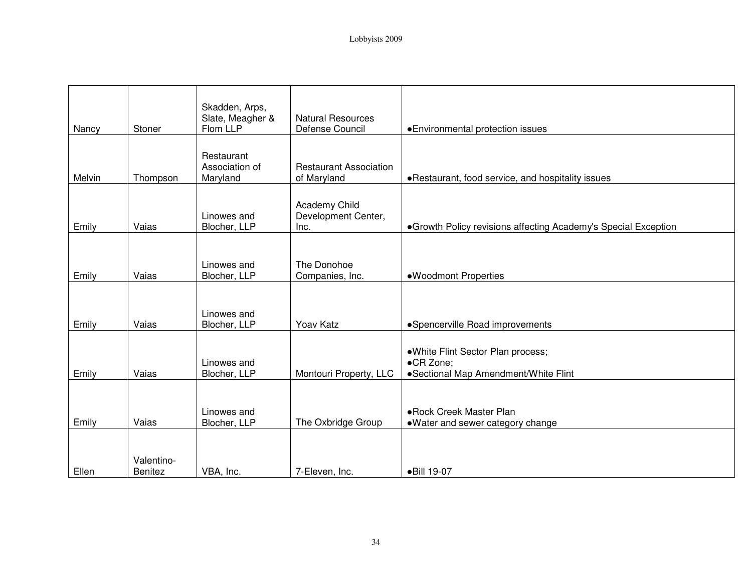| Nancy  | Stoner                | Skadden, Arps,<br>Slate, Meagher &<br>Flom LLP | <b>Natural Resources</b><br>Defense Council  | • Environmental protection issues                                                       |
|--------|-----------------------|------------------------------------------------|----------------------------------------------|-----------------------------------------------------------------------------------------|
| Melvin | Thompson              | Restaurant<br>Association of<br>Maryland       | <b>Restaurant Association</b><br>of Maryland | • Restaurant, food service, and hospitality issues                                      |
| Emily  | Vaias                 | Linowes and<br>Blocher, LLP                    | Academy Child<br>Development Center,<br>Inc. | • Growth Policy revisions affecting Academy's Special Exception                         |
| Emily  | Vaias                 | Linowes and<br>Blocher, LLP                    | The Donohoe<br>Companies, Inc.               | •Woodmont Properties                                                                    |
| Emily  | Vaias                 | Linowes and<br>Blocher, LLP                    | Yoav Katz                                    | • Spencerville Road improvements                                                        |
| Emily  | Vaias                 | Linowes and<br>Blocher, LLP                    | Montouri Property, LLC                       | .White Flint Sector Plan process;<br>•CR Zone:<br>• Sectional Map Amendment/White Flint |
| Emily  | Vaias                 | Linowes and<br>Blocher, LLP                    | The Oxbridge Group                           | • Rock Creek Master Plan<br>•Water and sewer category change                            |
| Ellen  | Valentino-<br>Benitez | VBA, Inc.                                      | 7-Eleven, Inc.                               | •Bill 19-07                                                                             |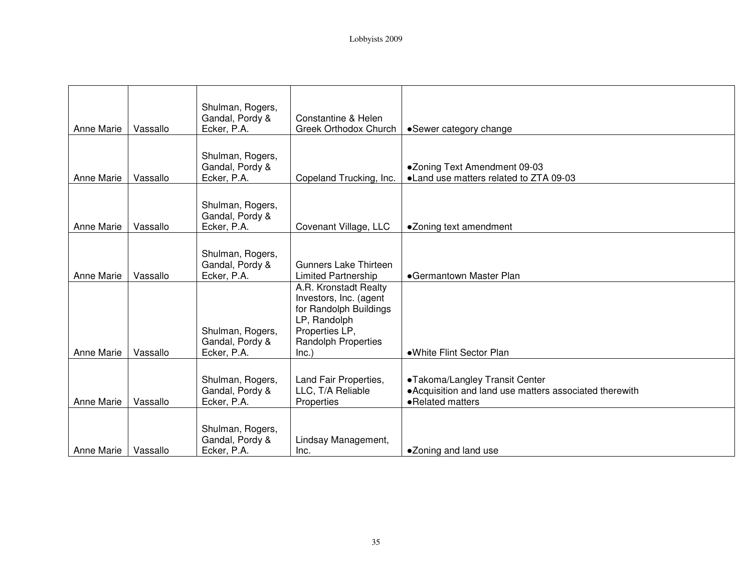| <b>Anne Marie</b> | Vassallo | Shulman, Rogers,<br>Gandal, Pordy &<br>Ecker, P.A. | Constantine & Helen<br>Greek Orthodox Church                                                                                                       | •Sewer category change                                                                                        |
|-------------------|----------|----------------------------------------------------|----------------------------------------------------------------------------------------------------------------------------------------------------|---------------------------------------------------------------------------------------------------------------|
| Anne Marie        | Vassallo | Shulman, Rogers,<br>Gandal, Pordy &<br>Ecker, P.A. | Copeland Trucking, Inc.                                                                                                                            | ●Zoning Text Amendment 09-03<br>• Land use matters related to ZTA 09-03                                       |
| <b>Anne Marie</b> | Vassallo | Shulman, Rogers,<br>Gandal, Pordy &<br>Ecker, P.A. | Covenant Village, LLC                                                                                                                              | •Zoning text amendment                                                                                        |
| <b>Anne Marie</b> | Vassallo | Shulman, Rogers,<br>Gandal, Pordy &<br>Ecker, P.A. | <b>Gunners Lake Thirteen</b><br><b>Limited Partnership</b>                                                                                         | •Germantown Master Plan                                                                                       |
| <b>Anne Marie</b> | Vassallo | Shulman, Rogers,<br>Gandal, Pordy &<br>Ecker, P.A. | A.R. Kronstadt Realty<br>Investors, Inc. (agent<br>for Randolph Buildings<br>LP, Randolph<br>Properties LP,<br><b>Randolph Properties</b><br>Inc.) | •White Flint Sector Plan                                                                                      |
| <b>Anne Marie</b> | Vassallo | Shulman, Rogers,<br>Gandal, Pordy &<br>Ecker, P.A. | Land Fair Properties,<br>LLC, T/A Reliable<br>Properties                                                                                           | •Takoma/Langley Transit Center<br>• Acquisition and land use matters associated therewith<br>•Related matters |
| Anne Marie        | Vassallo | Shulman, Rogers,<br>Gandal, Pordy &<br>Ecker, P.A. | Lindsay Management,<br>Inc.                                                                                                                        | •Zoning and land use                                                                                          |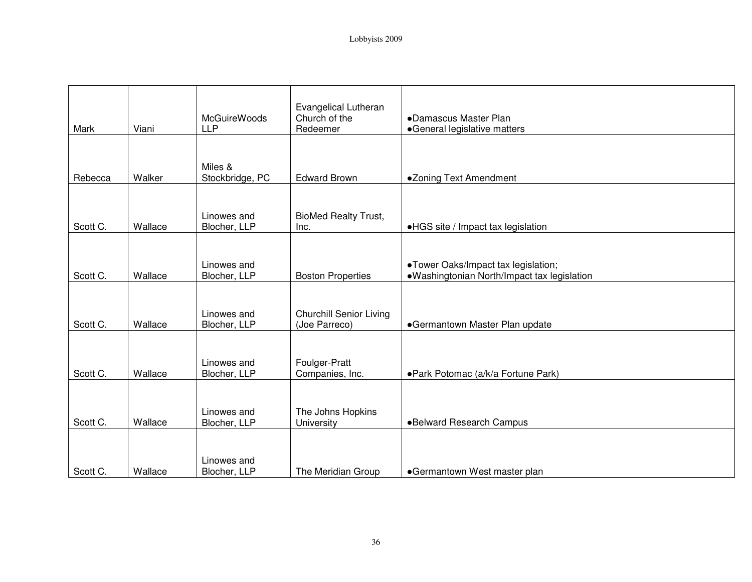| Mark     | Viani   | <b>McGuireWoods</b><br><b>LLP</b> | Evangelical Lutheran<br>Church of the<br>Redeemer | •Damascus Master Plan<br>•General legislative matters                              |
|----------|---------|-----------------------------------|---------------------------------------------------|------------------------------------------------------------------------------------|
|          |         | Miles &                           |                                                   |                                                                                    |
| Rebecca  | Walker  | Stockbridge, PC                   | <b>Edward Brown</b>                               | •Zoning Text Amendment                                                             |
| Scott C. | Wallace | Linowes and<br>Blocher, LLP       | <b>BioMed Realty Trust,</b><br>Inc.               | •HGS site / Impact tax legislation                                                 |
| Scott C. | Wallace | Linowes and<br>Blocher, LLP       | <b>Boston Properties</b>                          | •Tower Oaks/Impact tax legislation;<br>•Washingtonian North/Impact tax legislation |
| Scott C. | Wallace | Linowes and<br>Blocher, LLP       | <b>Churchill Senior Living</b><br>(Joe Parreco)   | •Germantown Master Plan update                                                     |
| Scott C. | Wallace | Linowes and<br>Blocher, LLP       | Foulger-Pratt<br>Companies, Inc.                  | • Park Potomac (a/k/a Fortune Park)                                                |
| Scott C. | Wallace | Linowes and<br>Blocher, LLP       | The Johns Hopkins<br>University                   | •Belward Research Campus                                                           |
| Scott C. | Wallace | Linowes and<br>Blocher, LLP       | The Meridian Group                                | •Germantown West master plan                                                       |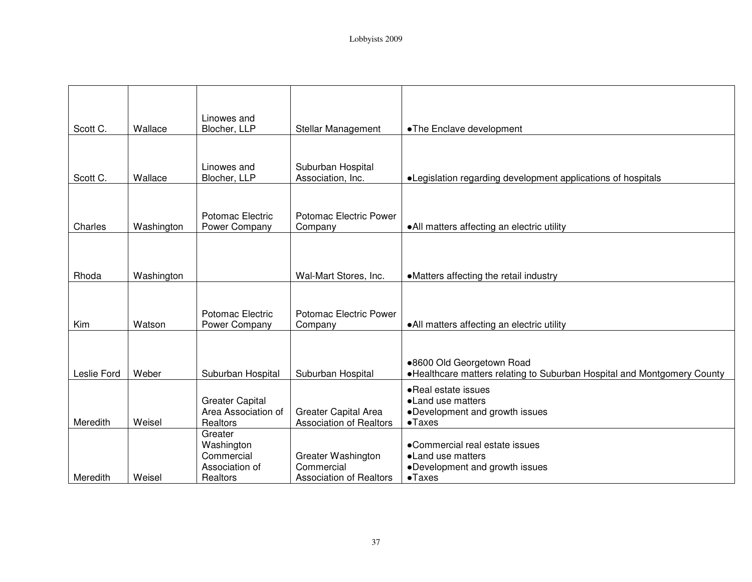|             |            | Linowes and                                                       |                                                                    |                                                                                                           |
|-------------|------------|-------------------------------------------------------------------|--------------------------------------------------------------------|-----------------------------------------------------------------------------------------------------------|
| Scott C.    | Wallace    | Blocher, LLP                                                      | Stellar Management                                                 | •The Enclave development                                                                                  |
| Scott C.    | Wallace    | Linowes and<br>Blocher, LLP                                       | Suburban Hospital<br>Association, Inc.                             | • Legislation regarding development applications of hospitals                                             |
| Charles     | Washington | Potomac Electric<br>Power Company                                 | Potomac Electric Power<br>Company                                  | • All matters affecting an electric utility                                                               |
| Rhoda       | Washington |                                                                   | Wal-Mart Stores, Inc.                                              | •Matters affecting the retail industry                                                                    |
| Kim         | Watson     | Potomac Electric<br>Power Company                                 | Potomac Electric Power<br>Company                                  | • All matters affecting an electric utility                                                               |
| Leslie Ford | Weber      | Suburban Hospital                                                 | Suburban Hospital                                                  | .8600 Old Georgetown Road<br>. Healthcare matters relating to Suburban Hospital and Montgomery County     |
| Meredith    | Weisel     | <b>Greater Capital</b><br>Area Association of<br>Realtors         | <b>Greater Capital Area</b><br><b>Association of Realtors</b>      | • Real estate issues<br>•Land use matters<br>•Development and growth issues<br>$\bullet$ Taxes            |
| Meredith    | Weisel     | Greater<br>Washington<br>Commercial<br>Association of<br>Realtors | Greater Washington<br>Commercial<br><b>Association of Realtors</b> | •Commercial real estate issues<br>• Land use matters<br>•Development and growth issues<br>$\bullet$ Taxes |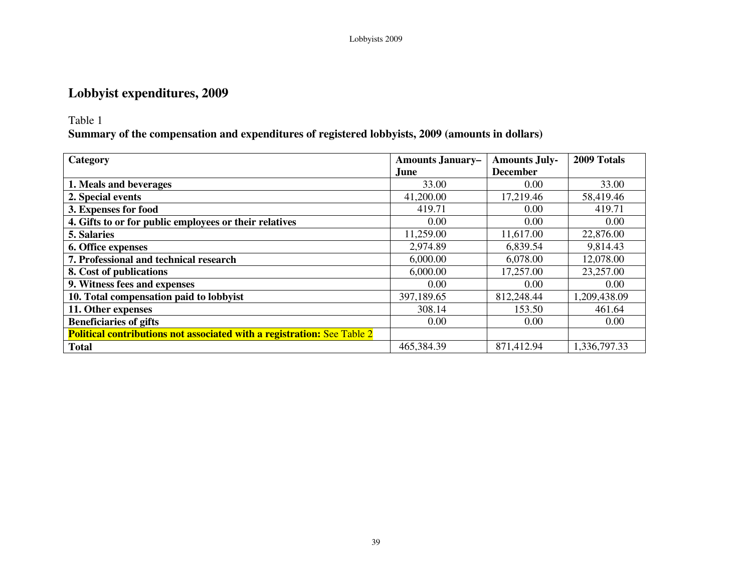## **Lobbyist expenditures, 2009**

### Table 1

**Summary of the compensation and expenditures of registered lobbyists, 2009 (amounts in dollars)** 

| Category                                                                       | <b>Amounts January-</b> | <b>Amounts July-</b> | 2009 Totals  |
|--------------------------------------------------------------------------------|-------------------------|----------------------|--------------|
|                                                                                | June                    | <b>December</b>      |              |
| 1. Meals and beverages                                                         | 33.00                   | 0.00                 | 33.00        |
| 2. Special events                                                              | 41,200.00               | 17,219.46            | 58,419.46    |
| 3. Expenses for food                                                           | 419.71                  | 0.00                 | 419.71       |
| 4. Gifts to or for public employees or their relatives                         | 0.00                    | 0.00                 | 0.00         |
| 5. Salaries                                                                    | 11,259.00               | 11,617.00            | 22,876.00    |
| 6. Office expenses                                                             | 2,974.89                | 6,839.54             | 9,814.43     |
| 7. Professional and technical research                                         | 6,000.00                | 6,078.00             | 12,078.00    |
| 8. Cost of publications                                                        | 6,000.00                | 17,257.00            | 23,257.00    |
| 9. Witness fees and expenses                                                   | 0.00                    | 0.00                 | 0.00         |
| 10. Total compensation paid to lobbyist                                        | 397,189.65              | 812,248.44           | 1,209,438.09 |
| 11. Other expenses                                                             | 308.14                  | 153.50               | 461.64       |
| <b>Beneficiaries of gifts</b>                                                  | 0.00                    | 0.00                 | 0.00         |
| <b>Political contributions not associated with a registration: See Table 2</b> |                         |                      |              |
| <b>Total</b>                                                                   | 465,384.39              | 871,412.94           | 1,336,797.33 |